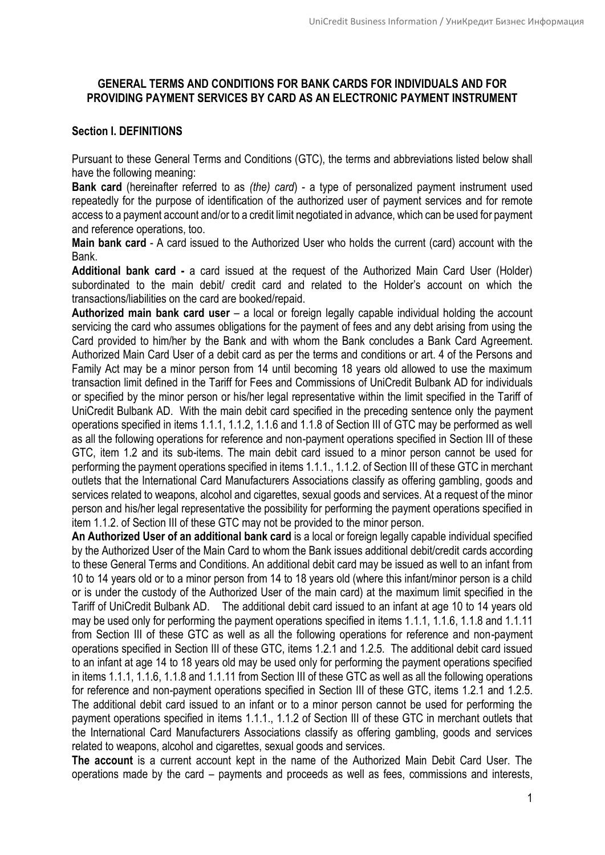# **GENERAL TERMS AND CONDITIONS FOR BANK CARDS FOR INDIVIDUALS AND FOR PROVIDING PAYMENT SERVICES BY CARD AS AN ELECTRONIC PAYMENT INSTRUMENT**

# **Section I. DEFINITIONS**

Pursuant to these General Terms and Conditions (GTC), the terms and abbreviations listed below shall have the following meaning:

**Bank card** (hereinafter referred to as *(the) card*) - a type of personalized payment instrument used repeatedly for the purpose of identification of the authorized user of payment services and for remote access to a payment account and/or to a credit limit negotiated in advance, which can be used for payment and reference operations, too.

**Main bank card** - A card issued to the Authorized User who holds the current (card) account with the Bank.

**Additional bank card -** a card issued at the request of the Authorized Main Card User (Holder) subordinated to the main debit/ credit card and related to the Holder's account on which the transactions/liabilities on the card are booked/repaid.

**Authorized main bank card user** – a local or foreign legally capable individual holding the account servicing the card who assumes obligations for the payment of fees and any debt arising from using the Card provided to him/her by the Bank and with whom the Bank concludes a Bank Card Agreement. Authorized Main Card User of a debit card as per the terms and conditions or art. 4 of the Persons and Family Act may be a minor person from 14 until becoming 18 years old allowed to use the maximum transaction limit defined in the Tariff for Fees and Commissions of UniCredit Bulbank AD for individuals or specified by the minor person or his/her legal representative within the limit specified in the Tariff of UniCredit Bulbank AD. With the main debit card specified in the preceding sentence only the payment operations specified in items 1.1.1, 1.1.2, 1.1.6 and 1.1.8 of Section III of GTC may be performed as well as all the following operations for reference and non-payment operations specified in Section III of these GTC, item 1.2 and its sub-items. The main debit card issued to a minor person cannot be used for performing the payment operations specified in items 1.1.1., 1.1.2. of Section III of these GTC in merchant outlets that the International Card Manufacturers Associations classify as offering gambling, goods and services related to weapons, alcohol and cigarettes, sexual goods and services. At a request of the minor person and his/her legal representative the possibility for performing the payment operations specified in item 1.1.2. of Section III of these GTC may not be provided to the minor person.

**An Authorized User of an additional bank card** is a local or foreign legally capable individual specified by the Authorized User of the Main Card to whom the Bank issues additional debit/credit cards according to these General Terms and Conditions. An additional debit card may be issued as well to an infant from 10 to 14 years old or to a minor person from 14 to 18 years old (where this infant/minor person is a child or is under the custody of the Authorized User of the main card) at the maximum limit specified in the Tariff of UniCredit Bulbank AD. The additional debit card issued to an infant at age 10 to 14 years old may be used only for performing the payment operations specified in items 1.1.1, 1.1.6, 1.1.8 and 1.1.11 from Section III of these GTC as well as all the following operations for reference and non-payment operations specified in Section III of these GTC, items 1.2.1 and 1.2.5. The additional debit card issued to an infant at age 14 to 18 years old may be used only for performing the payment operations specified in items 1.1.1, 1.1.6, 1.1.8 and 1.1.11 from Section III of these GTC as well as all the following operations for reference and non-payment operations specified in Section III of these GTC, items 1.2.1 and 1.2.5. The additional debit card issued to an infant or to a minor person cannot be used for performing the payment operations specified in items 1.1.1., 1.1.2 of Section III of these GTC in merchant outlets that the International Card Manufacturers Associations classify as offering gambling, goods and services related to weapons, alcohol and cigarettes, sexual goods and services.

**The account** is a current account kept in the name of the Authorized Main Debit Card User. The operations made by the card – payments and proceeds as well as fees, commissions and interests,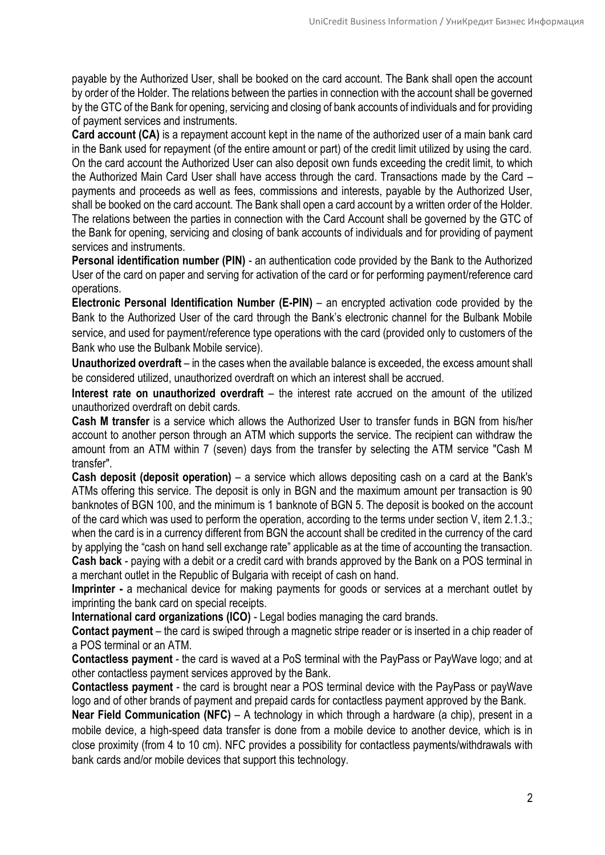payable by the Authorized User, shall be booked on the card account. The Bank shall open the account by order of the Holder. The relations between the parties in connection with the account shall be governed by the GTC of the Bank for opening, servicing and closing of bank accounts of individuals and for providing of payment services and instruments.

**Card account (CA)** is a repayment account kept in the name of the authorized user of a main bank card in the Bank used for repayment (of the entire amount or part) of the credit limit utilized by using the card. On the card account the Authorized User can also deposit own funds exceeding the credit limit, to which the Authorized Main Card User shall have access through the card. Transactions made by the Card – payments and proceeds as well as fees, commissions and interests, payable by the Authorized User, shall be booked on the card account. The Bank shall open a card account by a written order of the Holder. The relations between the parties in connection with the Card Account shall be governed by the GTC of the Bank for opening, servicing and closing of bank accounts of individuals and for providing of payment services and instruments.

**Personal identification number (PIN)** - an authentication code provided by the Bank to the Authorized User of the card on paper and serving for activation of the card or for performing payment/reference card operations.

**Electronic Personal Identification Number (E-PIN)** – an encrypted activation code provided by the Bank to the Authorized User of the card through the Bank's electronic channel for the Bulbank Mobile service, and used for payment/reference type operations with the card (provided only to customers of the Bank who use the Bulbank Mobile service).

**Unauthorized overdraft** – in the cases when the available balance is exceeded, the excess amount shall be considered utilized, unauthorized overdraft on which an interest shall be accrued.

**Interest rate on unauthorized overdraft** – the interest rate accrued on the amount of the utilized unauthorized overdraft on debit cards.

**Cash M transfer** is a service which allows the Authorized User to transfer funds in BGN from his/her account to another person through an ATM which supports the service. The recipient can withdraw the amount from an ATM within 7 (seven) days from the transfer by selecting the ATM service "Cash M transfer".

**Cash deposit (deposit operation)** – a service which allows depositing cash on a card at the Bank's ATMs offering this service. The deposit is only in BGN and the maximum amount per transaction is 90 banknotes of BGN 100, and the minimum is 1 banknote of BGN 5. The deposit is booked on the account of the card which was used to perform the operation, according to the terms under section V, item 2.1.3.; when the card is in a currency different from BGN the account shall be credited in the currency of the card by applying the "cash on hand sell exchange rate" applicable as at the time of accounting the transaction. **Cash back** - paying with a debit or a credit card with brands approved by the Bank on a POS terminal in a merchant outlet in the Republic of Bulgaria with receipt of cash on hand.

**Imprinter -** a mechanical device for making payments for goods or services at a merchant outlet by imprinting the bank card on special receipts.

**International card organizations (ICO)** - Legal bodies managing the card brands.

**Contact payment** – the card is swiped through a magnetic stripe reader or is inserted in a chip reader of a POS terminal or an ATM.

**Contactless payment** - the card is waved at a PoS terminal with the PayPass or PayWave logo; and at other contactless payment services approved by the Bank.

**Contactless payment** - the card is brought near a POS terminal device with the PayPass or payWave logo and of other brands of payment and prepaid cards for contactless payment approved by the Bank.

**Near Field Communication (NFC)** – A technology in which through a hardware (a chip), present in a mobile device, a high-speed data transfer is done from a mobile device to another device, which is in close proximity (from 4 to 10 cm). NFC provides a possibility for contactless payments/withdrawals with bank cards and/or mobile devices that support this technology.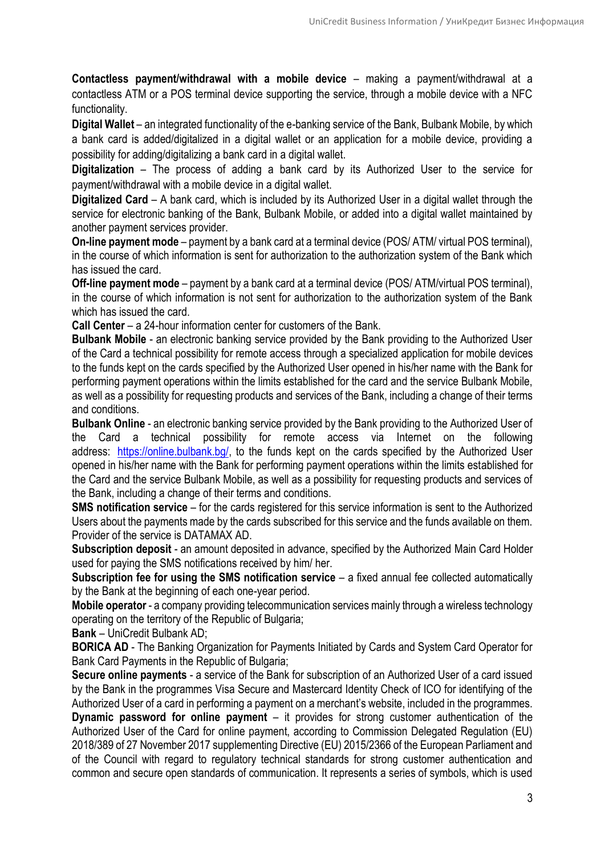**Contactless payment/withdrawal with a mobile device** – making a payment/withdrawal at a contactless ATM or a POS terminal device supporting the service, through a mobile device with a NFC functionality.

**Digital Wallet** – an integrated functionality of the e-banking service of the Bank, Bulbank Mobile, by which a bank card is added/digitalized in a digital wallet or an application for a mobile device, providing a possibility for adding/digitalizing a bank card in a digital wallet.

**Digitalization** – The process of adding a bank card by its Authorized User to the service for payment/withdrawal with a mobile device in a digital wallet.

**Digitalized Card** – A bank card, which is included by its Authorized User in a digital wallet through the service for electronic banking of the Bank, Bulbank Mobile, or added into a digital wallet maintained by another payment services provider.

**Оn-line payment mode** – payment by a bank card at a terminal device (POS/ ATM/ virtual POS terminal), in the course of which information is sent for authorization to the authorization system of the Bank which has issued the card.

**Off-line payment mode** – payment by a bank card at a terminal device (POS/ ATM/virtual POS terminal), in the course of which information is not sent for authorization to the authorization system of the Bank which has issued the card.

**Call Center** – a 24-hour information center for customers of the Bank.

**Bulbank Mobile** - an electronic banking service provided by the Bank providing to the Authorized User of the Card a technical possibility for remote access through a specialized application for mobile devices to the funds kept on the cards specified by the Authorized User opened in his/her name with the Bank for performing payment operations within the limits established for the card and the service Bulbank Mobile, as well as a possibility for requesting products and services of the Bank, including a change of their terms and conditions.

**Bulbank Online** - an electronic banking service provided by the Bank providing to the Authorized User of the Card a technical possibility for remote access via Internet on the following address: [https://online.bulbank.bg/,](https://online.bulbank.bg/) to the funds kept on the cards specified by the Authorized User opened in his/her name with the Bank for performing payment operations within the limits established for the Card and the service Bulbank Mobile, as well as a possibility for requesting products and services of the Bank, including a change of their terms and conditions.

**SMS notification service** – for the cards registered for this service information is sent to the Authorized Users about the payments made by the cards subscribed for this service and the funds available on them. Provider of the service is DATAMAX AD.

**Subscription deposit** - an amount deposited in advance, specified by the Authorized Main Card Holder used for paying the SMS notifications received by him/ her.

**Subscription fee for using the SMS notification service** – a fixed annual fee collected automatically by the Bank at the beginning of each one-year period.

**Mobile operator** - a company providing telecommunication services mainly through a wireless technology operating on the territory of the Republic of Bulgaria;

**Bank** – UniCredit Bulbank AD;

**BORICA AD** - The Banking Organization for Payments Initiated by Cards and System Card Operator for Bank Card Payments in the Republic of Bulgaria;

**Secure online payments** - a service of the Bank for subscription of an Authorized User of a card issued by the Bank in the programmes Visa Secure and Mastercard Identity Check of ICO for identifying of the Authorized User of a card in performing a payment on a merchant's website, included in the programmes. **Dynamic password for online payment** – it provides for strong customer authentication of the Authorized User of the Card for online payment, according to Commission Delegated Regulation (EU) 2018/389 of 27 November 2017 supplementing Directive (EU) 2015/2366 of the European Parliament and of the Council with regard to regulatory technical standards for strong customer authentication and common and secure open standards of communication. It represents a series of symbols, which is used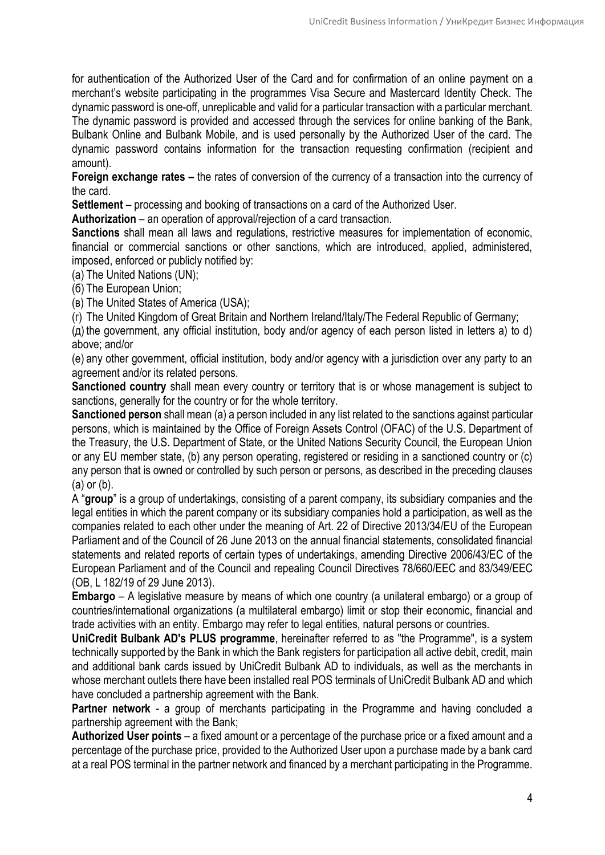for authentication of the Authorized User of the Card and for confirmation of an online payment on a merchant's website participating in the programmes Visa Secure and Mastercard Identity Check. The dynamic password is one-off, unreplicable and valid for a particular transaction with a particular merchant. The dynamic password is provided and accessed through the services for online banking of the Bank, Bulbank Online and Bulbank Mobile, and is used personally by the Authorized User of the card. The dynamic password contains information for the transaction requesting confirmation (recipient and amount).

**Foreign exchange rates –** the rates of conversion of the currency of a transaction into the currency of the card.

**Settlement** – processing and booking of transactions on a card of the Authorized User.

**Authorization** – an operation of approval/rejection of a card transaction.

**Sanctions** shall mean all laws and regulations, restrictive measures for implementation of economic, financial or commercial sanctions or other sanctions, which are introduced, applied, administered, imposed, enforced or publicly notified by:

(а) The United Nations (UN);

(б) The European Union;

(в) The United States of America (USA);

(г) The United Kingdom of Great Britain and Northern Ireland/Italy/The Federal Republic of Germany;

(д) the government, any official institution, body and/or agency of each person listed in letters a) to d) above; and/or

(е) any other government, official institution, body and/or agency with a jurisdiction over any party to an agreement and/or its related persons.

**Sanctioned country** shall mean every country or territory that is or whose management is subject to sanctions, generally for the country or for the whole territory.

**Sanctioned person** shall mean (a) a person included in any list related to the sanctions against particular persons, which is maintained by the Office of Foreign Assets Control (OFAC) of the U.S. Department of the Treasury, the U.S. Department of State, or the United Nations Security Council, the European Union or any EU member state, (b) any person operating, registered or residing in a sanctioned country or (c) any person that is owned or controlled by such person or persons, as described in the preceding clauses (а) or (b).

A "**group**" is a group of undertakings, consisting of a parent company, its subsidiary companies and the legal entities in which the parent company or its subsidiary companies hold a participation, as well as the companies related to each other under the meaning of Art. 22 of Directive 2013/34/EU of the European Parliament and of the Council of 26 June 2013 on the annual financial statements, consolidated financial statements and related reports of certain types of undertakings, amending Directive 2006/43/EC of the European Parliament and of the Council and repealing Council Directives 78/660/EEC and 83/349/EEC (ОВ, L 182/19 of 29 June 2013).

**Embargo** – A legislative measure by means of which one country (a unilateral embargo) or a group of countries/international organizations (a multilateral embargo) limit or stop their economic, financial and trade activities with an entity. Embargo may refer to legal entities, natural persons or countries.

**UniCredit Bulbank AD's PLUS programme**, hereinafter referred to as "the Programme", is a system technically supported by the Bank in which the Bank registers for participation all active debit, credit, main and additional bank cards issued by UniCredit Bulbank AD to individuals, as well as the merchants in whose merchant outlets there have been installed real POS terminals of UniCredit Bulbank AD and which have concluded a partnership agreement with the Bank.

**Partner network** - a group of merchants participating in the Programme and having concluded a partnership agreement with the Bank;

**Authorized User points** – a fixed amount or a percentage of the purchase price or a fixed amount and a percentage of the purchase price, provided to the Authorized User upon a purchase made by a bank card at a real POS terminal in the partner network and financed by a merchant participating in the Programme.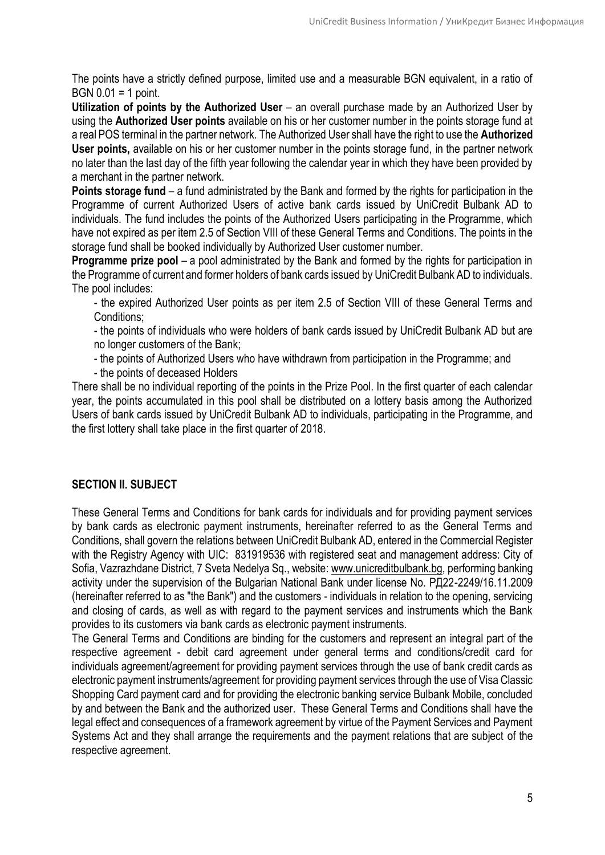The points have a strictly defined purpose, limited use and a measurable BGN equivalent, in a ratio of BGN 0.01 = 1 point.

**Utilization of points by the Authorized User** – an overall purchase made by an Authorized User by using the **Authorized User points** available on his or her customer number in the points storage fund at a real POS terminal in the partner network. The Authorized User shall have the right to use the **Authorized User points,** available on his or her customer number in the points storage fund, in the partner network no later than the last day of the fifth year following the calendar year in which they have been provided by a merchant in the partner network.

**Points storage fund** – a fund administrated by the Bank and formed by the rights for participation in the Programme of current Authorized Users of active bank cards issued by UniCredit Bulbank AD to individuals. The fund includes the points of the Authorized Users participating in the Programme, which have not expired as per item 2.5 of Section VIII of these General Terms and Conditions. The points in the storage fund shall be booked individually by Authorized User customer number.

**Programme prize pool** – a pool administrated by the Bank and formed by the rights for participation in the Programme of current and former holders of bank cards issued by UniCredit Bulbank AD to individuals. The pool includes:

- the expired Authorized User points as per item 2.5 of Section VIII of these General Terms and Conditions;

- the points of individuals who were holders of bank cards issued by UniCredit Bulbank AD but are no longer customers of the Bank;

- the points of Authorized Users who have withdrawn from participation in the Programme; and

- the points of deceased Holders

There shall be no individual reporting of the points in the Prize Pool. In the first quarter of each calendar year, the points accumulated in this pool shall be distributed on a lottery basis among the Authorized Users of bank cards issued by UniCredit Bulbank AD to individuals, participating in the Programme, and the first lottery shall take place in the first quarter of 2018.

# **SECTION II. SUBJECT**

These General Terms and Conditions for bank cards for individuals and for providing payment services by bank cards as electronic payment instruments, hereinafter referred to as the General Terms and Conditions, shall govern the relations between UniCredit Bulbank AD, entered in the Commercial Register with the Registry Agency with UIC: 831919536 with registered seat and management address: City of Sofia, Vazrazhdane District, 7 Sveta Nedelya Sq., website: [www.unicreditbulbank.bg,](http://www.unicreditbulbank.bg/) performing banking activity under the supervision of the Bulgarian National Bank under license No. РД22-2249/16.11.2009 (hereinafter referred to as "the Bank") and the customers - individuals in relation to the opening, servicing and closing of cards, as well as with regard to the payment services and instruments which the Bank provides to its customers via bank cards as electronic payment instruments.

The General Terms and Conditions are binding for the customers and represent an integral part of the respective agreement - debit card agreement under general terms and conditions/credit card for individuals agreement/agreement for providing payment services through the use of bank credit cards as electronic payment instruments/agreement for providing payment services through the use of Visa Classic Shopping Card payment card and for providing the electronic banking service Bulbank Mobile, concluded by and between the Bank and the authorized user. These General Terms and Conditions shall have the legal effect and consequences of a framework agreement by virtue of the Payment Services and Payment Systems Act and they shall arrange the requirements and the payment relations that are subject of the respective agreement.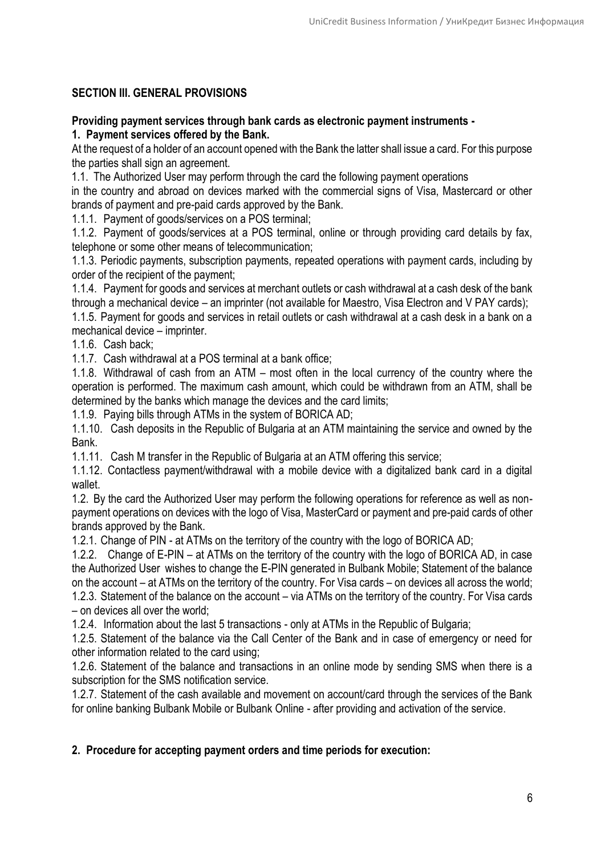# **SECTION III. GENERAL PROVISIONS**

**Providing payment services through bank cards as electronic payment instruments -**

**1. Payment services offered by the Bank.** 

At the request of a holder of an account opened with the Bank the latter shall issue a card. For this purpose the parties shall sign an agreement.

1.1. The Authorized User may perform through the card the following payment operations

in the country and abroad on devices marked with the commercial signs of Visa, Mastercard or other brands of payment and pre-paid cards approved by the Bank.

1.1.1. Payment of goods/services on a POS terminal;

1.1.2. Payment of goods/services at a POS terminal, online or through providing card details by fax, telephone or some other means of telecommunication;

1.1.3. Periodic payments, subscription payments, repeated operations with payment cards, including by order of the recipient of the payment;

1.1.4. Payment for goods and services at merchant outlets or cash withdrawal at a cash desk of the bank through a mechanical device – an imprinter (not available for Maestro, Visa Electron and V PAY cards);

1.1.5. Payment for goods and services in retail outlets or cash withdrawal at a cash desk in a bank on a mechanical device – imprinter.

1.1.6. Cash back;

1.1.7. Cash withdrawal at a POS terminal at a bank office;

1.1.8. Withdrawal of cash from an ATM – most often in the local currency of the country where the operation is performed. The maximum cash amount, which could be withdrawn from an ATM, shall be determined by the banks which manage the devices and the card limits;

1.1.9. Paying bills through ATMs in the system of BORICA AD;

1.1.10. Cash deposits in the Republic of Bulgaria at an ATM maintaining the service and owned by the Bank.

1.1.11. Cash M transfer in the Republic of Bulgaria at an ATM offering this service;

1.1.12. Contactless payment/withdrawal with a mobile device with a digitalized bank card in a digital wallet.

1.2. By the card the Authorized User may perform the following operations for reference as well as nonpayment operations on devices with the logo of Visa, MasterCard or payment and pre-paid cards of other brands approved by the Bank.

1.2.1. Change of PIN - at ATMs on the territory of the country with the logo of BORICA AD;

1.2.2. Change of E-PIN – at ATMs on the territory of the country with the logo of BORICA AD, in case the Authorized User wishes to change the E-PIN generated in Bulbank Mobile; Statement of the balance on the account – at ATMs on the territory of the country. For Visa cards – on devices all across the world; 1.2.3. Statement of the balance on the account – via ATMs on the territory of the country. For Visa cards – on devices all over the world;

1.2.4. Information about the last 5 transactions - only at ATMs in the Republic of Bulgaria;

1.2.5. Statement of the balance via the Call Center of the Bank and in case of emergency or need for other information related to the card using;

1.2.6. Statement of the balance and transactions in an online mode by sending SMS when there is a subscription for the SMS notification service.

1.2.7. Statement of the cash available and movement on account/card through the services of the Bank for online banking Bulbank Mobile or Bulbank Online - after providing and activation of the service.

# **2. Procedure for accepting payment orders and time periods for execution:**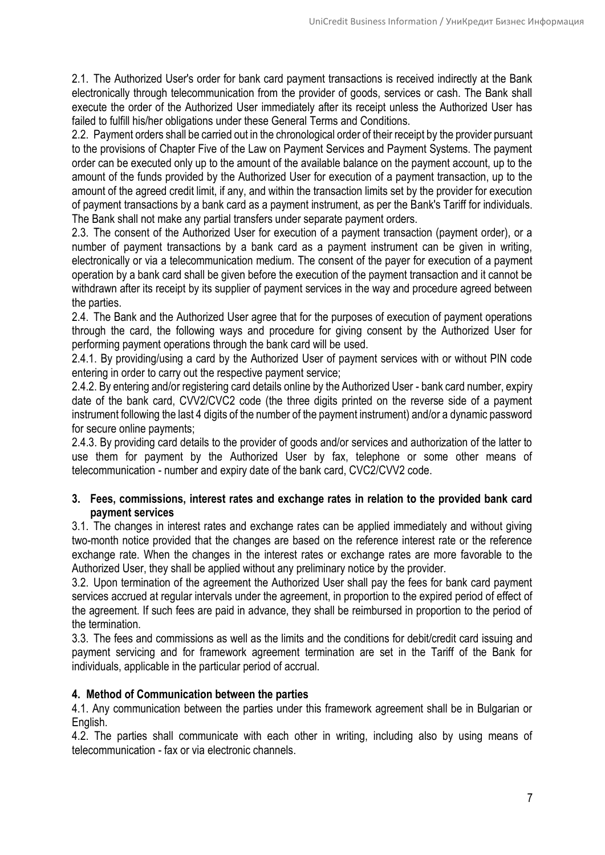2.1. The Authorized User's order for bank card payment transactions is received indirectly at the Bank electronically through telecommunication from the provider of goods, services or cash. The Bank shall execute the order of the Authorized User immediately after its receipt unless the Authorized User has failed to fulfill his/her obligations under these General Terms and Conditions.

2.2. Payment orders shall be carried out in the chronological order of their receipt by the provider pursuant to the provisions of Chapter Five of the Law on Payment Services and Payment Systems. The payment order can be executed only up to the amount of the available balance on the payment account, up to the amount of the funds provided by the Authorized User for execution of a payment transaction, up to the amount of the agreed credit limit, if any, and within the transaction limits set by the provider for execution of payment transactions by a bank card as a payment instrument, as per the Bank's Tariff for individuals. The Bank shall not make any partial transfers under separate payment orders.

2.3. The consent of the Authorized User for execution of a payment transaction (payment order), or a number of payment transactions by a bank card as a payment instrument can be given in writing, electronically or via a telecommunication medium. The consent of the payer for execution of a payment operation by a bank card shall be given before the execution of the payment transaction and it cannot be withdrawn after its receipt by its supplier of payment services in the way and procedure agreed between the parties.

2.4. The Bank and the Authorized User agree that for the purposes of execution of payment operations through the card, the following ways and procedure for giving consent by the Authorized User for performing payment operations through the bank card will be used.

2.4.1. By providing/using a card by the Authorized User of payment services with or without PIN code entering in order to carry out the respective payment service;

2.4.2. By entering and/or registering card details online by the Authorized User - bank card number, expiry date of the bank card, CVV2/CVC2 code (the three digits printed on the reverse side of a payment instrument following the last 4 digits of the number of the payment instrument) and/or a dynamic password for secure online payments;

2.4.3. By providing card details to the provider of goods and/or services and authorization of the latter to use them for payment by the Authorized User by fax, telephone or some other means of telecommunication - number and expiry date of the bank card, CVC2/CVV2 code.

# **3. Fees, commissions, interest rates and exchange rates in relation to the provided bank card payment services**

3.1. The changes in interest rates and exchange rates can be applied immediately and without giving two-month notice provided that the changes are based on the reference interest rate or the reference exchange rate. When the changes in the interest rates or exchange rates are more favorable to the Authorized User, they shall be applied without any preliminary notice by the provider.

3.2. Upon termination of the agreement the Authorized User shall pay the fees for bank card payment services accrued at regular intervals under the agreement, in proportion to the expired period of effect of the agreement. If such fees are paid in advance, they shall be reimbursed in proportion to the period of the termination.

3.3. The fees and commissions as well as the limits and the conditions for debit/credit card issuing and payment servicing and for framework agreement termination are set in the Tariff of the Bank for individuals, applicable in the particular period of accrual.

# **4. Method of Communication between the parties**

4.1. Any communication between the parties under this framework agreement shall be in Bulgarian or English.

4.2. The parties shall communicate with each other in writing, including also by using means of telecommunication - fax or via electronic channels.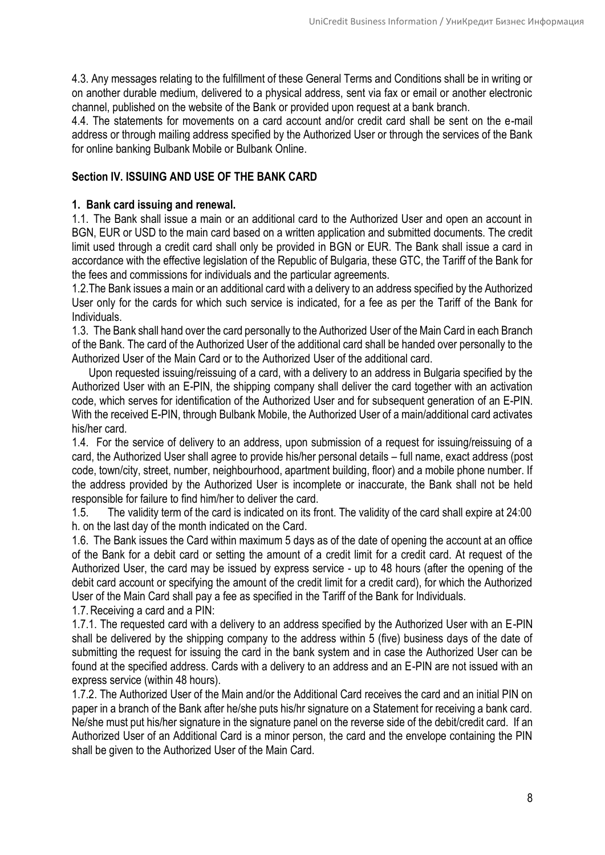4.3. Any messages relating to the fulfillment of these General Terms and Conditions shall be in writing or on another durable medium, delivered to a physical address, sent via fax or email or another electronic channel, published on the website of the Bank or provided upon request at a bank branch.

4.4. The statements for movements on a card account and/or credit card shall be sent on the e-mail address or through mailing address specified by the Authorized User or through the services of the Bank for online banking Bulbank Mobile or Bulbank Online.

# **Section IV. ISSUING AND USE OF THE BANK CARD**

#### **1. Bank card issuing and renewal.**

1.1. The Bank shall issue a main or an additional card to the Authorized User and open an account in BGN, EUR or USD to the main card based on a written application and submitted documents. The credit limit used through a credit card shall only be provided in BGN or EUR. The Bank shall issue a card in accordance with the effective legislation of the Republic of Bulgaria, these GTC, the Tariff of the Bank for the fees and commissions for individuals and the particular agreements.

1.2.The Bank issues a main or an additional card with a delivery to an address specified by the Authorized User only for the cards for which such service is indicated, for a fee as per the Tariff of the Bank for Individuals.

1.3. The Bank shall hand over the card personally to the Authorized User of the Main Card in each Branch of the Bank. The card of the Authorized User of the additional card shall be handed over personally to the Authorized User of the Main Card or to the Authorized User of the additional card.

 Upon requested issuing/reissuing of a card, with a delivery to an address in Bulgaria specified by the Authorized User with an E-PIN, the shipping company shall deliver the card together with an activation code, which serves for identification of the Authorized User and for subsequent generation of an E-PIN. With the received E-PIN, through Bulbank Mobile, the Authorized User of a main/additional card activates his/her card.

1.4. For the service of delivery to an address, upon submission of a request for issuing/reissuing of a card, the Authorized User shall agree to provide his/her personal details – full name, exact address (post code, town/city, street, number, neighbourhood, apartment building, floor) and a mobile phone number. If the address provided by the Authorized User is incomplete or inaccurate, the Bank shall not be held responsible for failure to find him/her to deliver the card.

1.5. The validity term of the card is indicated on its front. The validity of the card shall expire at 24:00 h. on the last day of the month indicated on the Card.

1.6. The Bank issues the Card within maximum 5 days as of the date of opening the account at an office of the Bank for a debit card or setting the amount of a credit limit for a credit card. At request of the Authorized User, the card may be issued by express service - up to 48 hours (after the opening of the debit card account or specifying the amount of the credit limit for a credit card), for which the Authorized User of the Main Card shall pay a fee as specified in the Tariff of the Bank for Individuals.

1.7.Receiving a card and a PIN:

1.7.1. The requested card with a delivery to an address specified by the Authorized User with an E-PIN shall be delivered by the shipping company to the address within 5 (five) business days of the date of submitting the request for issuing the card in the bank system and in case the Authorized User can be found at the specified address. Cards with a delivery to an address and an E-PIN are not issued with an express service (within 48 hours).

1.7.2. The Authorized User of the Main and/or the Additional Card receives the card and an initial PIN on paper in a branch of the Bank after he/she puts his/hr signature on a Statement for receiving a bank card. Ne/she must put his/her signature in the signature panel on the reverse side of the debit/credit card. If an Authorized User of an Additional Card is a minor person, the card and the envelope containing the PIN shall be given to the Authorized User of the Main Card.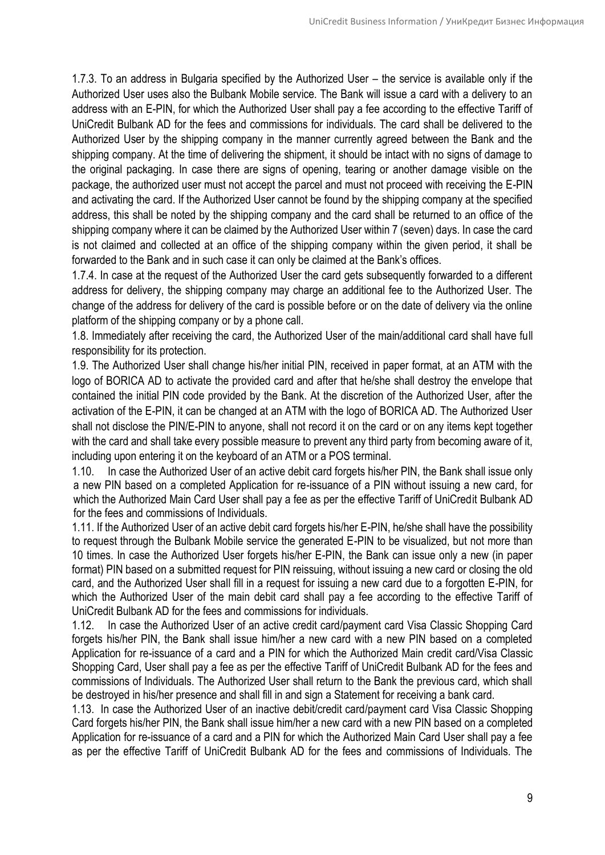1.7.3. To an address in Bulgaria specified by the Authorized User – the service is available only if the Authorized User uses also the Bulbank Mobile service. The Bank will issue a card with a delivery to an address with an E-PIN, for which the Authorized User shall pay a fee according to the effective Tariff of UniCredit Bulbank AD for the fees and commissions for individuals. The card shall be delivered to the Authorized User by the shipping company in the manner currently agreed between the Bank and the shipping company. At the time of delivering the shipment, it should be intact with no signs of damage to the original packaging. In case there are signs of opening, tearing or another damage visible on the package, the authorized user must not accept the parcel and must not proceed with receiving the E-PIN and activating the card. If the Authorized User cannot be found by the shipping company at the specified address, this shall be noted by the shipping company and the card shall be returned to an office of the shipping company where it can be claimed by the Authorized User within 7 (seven) days. In case the card is not claimed and collected at an office of the shipping company within the given period, it shall be forwarded to the Bank and in such case it can only be claimed at the Bank's offices.

1.7.4. In case at the request of the Authorized User the card gets subsequently forwarded to a different address for delivery, the shipping company may charge an additional fee to the Authorized User. The change of the address for delivery of the card is possible before or on the date of delivery via the online platform of the shipping company or by a phone call.

1.8. Immediately after receiving the card, the Authorized User of the main/additional card shall have full responsibility for its protection.

1.9. The Authorized User shall change his/her initial PIN, received in paper format, at an ATM with the logo of BORICA AD to activate the provided card and after that he/she shall destroy the envelope that contained the initial PIN code provided by the Bank. At the discretion of the Authorized User, after the activation of the E-PIN, it can be changed at an ATM with the logo of BORICA AD. The Authorized User shall not disclose the PIN/E-PIN to anyone, shall not record it on the card or on any items kept together with the card and shall take every possible measure to prevent any third party from becoming aware of it, including upon entering it on the keyboard of an ATM or a POS terminal.

1.10. In case the Authorized User of an active debit card forgets his/her PIN, the Bank shall issue only a new PIN based on a completed Application for re-issuance of a PIN without issuing a new card, for which the Authorized Main Card User shall pay a fee as per the effective Tariff of UniCredit Bulbank AD for the fees and commissions of Individuals.

1.11. If the Authorized User of an active debit card forgets his/her E-PIN, he/she shall have the possibility to request through the Bulbank Mobile service the generated E-PIN to be visualized, but not more than 10 times. In case the Authorized User forgets his/her E-PIN, the Bank can issue only a new (in paper format) PIN based on a submitted request for PIN reissuing, without issuing a new card or closing the old card, and the Authorized User shall fill in a request for issuing a new card due to a forgotten E-PIN, for which the Authorized User of the main debit card shall pay a fee according to the effective Tariff of UniCredit Bulbank AD for the fees and commissions for individuals.

1.12. In case the Authorized User of an active credit card/payment card Visa Classic Shopping Card forgets his/her PIN, the Bank shall issue him/her a new card with a new PIN based on a completed Application for re-issuance of a card and a PIN for which the Authorized Main credit card/Visa Classic Shopping Card, User shall pay a fee as per the effective Tariff of UniCredit Bulbank AD for the fees and commissions of Individuals. The Authorized User shall return to the Bank the previous card, which shall be destroyed in his/her presence and shall fill in and sign a Statement for receiving a bank card.

1.13. In case the Authorized User of an inactive debit/credit card/payment card Visa Classic Shopping Card forgets his/her PIN, the Bank shall issue him/her a new card with a new PIN based on a completed Application for re-issuance of a card and a PIN for which the Authorized Main Card User shall pay a fee as per the effective Tariff of UniCredit Bulbank AD for the fees and commissions of Individuals. The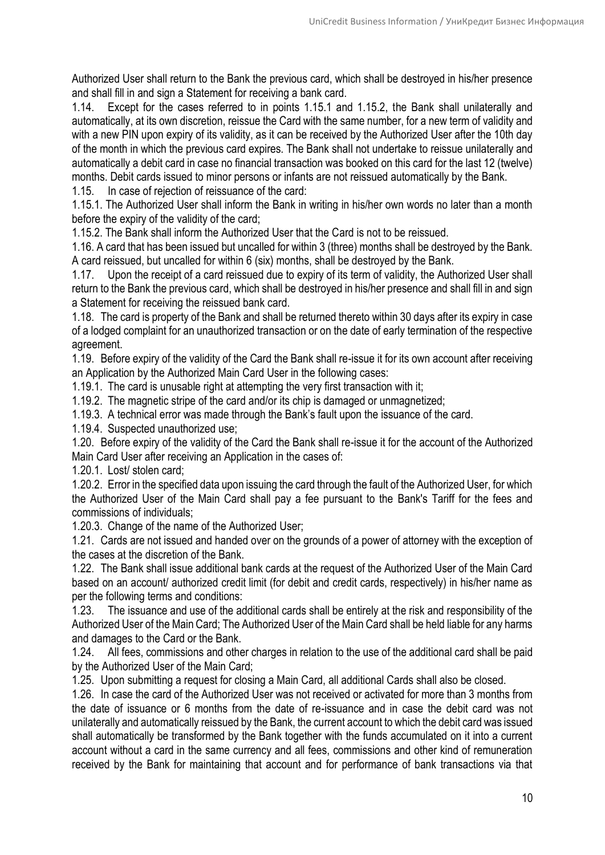Authorized User shall return to the Bank the previous card, which shall be destroyed in his/her presence and shall fill in and sign a Statement for receiving a bank card.

1.14. Except for the cases referred to in points 1.15.1 and 1.15.2, the Bank shall unilaterally and automatically, at its own discretion, reissue the Card with the same number, for a new term of validity and with a new PIN upon expiry of its validity, as it can be received by the Authorized User after the 10th day of the month in which the previous card expires. The Bank shall not undertake to reissue unilaterally and automatically a debit card in case no financial transaction was booked on this card for the last 12 (twelve) months. Debit cards issued to minor persons or infants are not reissued automatically by the Bank.

1.15. In case of rejection of reissuance of the card:

1.15.1. The Authorized User shall inform the Bank in writing in his/her own words no later than a month before the expiry of the validity of the card;

1.15.2. The Bank shall inform the Authorized User that the Card is not to be reissued.

1.16. A card that has been issued but uncalled for within 3 (three) months shall be destroyed by the Bank. A card reissued, but uncalled for within 6 (six) months, shall be destroyed by the Bank.

1.17. Upon the receipt of a card reissued due to expiry of its term of validity, the Authorized User shall return to the Bank the previous card, which shall be destroyed in his/her presence and shall fill in and sign a Statement for receiving the reissued bank card.

1.18. The card is property of the Bank and shall be returned thereto within 30 days after its expiry in case of a lodged complaint for an unauthorized transaction or on the date of early termination of the respective agreement.

1.19. Before expiry of the validity of the Card the Bank shall re-issue it for its own account after receiving an Application by the Authorized Main Card User in the following cases:

1.19.1. The card is unusable right at attempting the very first transaction with it:

1.19.2. The magnetic stripe of the card and/or its chip is damaged or unmagnetized;

1.19.3. A technical error was made through the Bank's fault upon the issuance of the card.

1.19.4. Suspected unauthorized use;

1.20. Before expiry of the validity of the Card the Bank shall re-issue it for the account of the Authorized Main Card User after receiving an Application in the cases of:

1.20.1. Lost/ stolen card;

1.20.2. Error in the specified data upon issuing the card through the fault of the Authorized User, for which the Authorized User of the Main Card shall pay a fee pursuant to the Bank's Tariff for the fees and commissions of individuals;

1.20.3. Change of the name of the Authorized User;

1.21. Cards are not issued and handed over on the grounds of a power of attorney with the exception of the cases at the discretion of the Bank.

1.22. The Bank shall issue additional bank cards at the request of the Authorized User of the Main Card based on an account/ authorized credit limit (for debit and credit cards, respectively) in his/her name as per the following terms and conditions:

1.23. The issuance and use of the additional cards shall be entirely at the risk and responsibility of the Authorized User of the Main Card; The Authorized User of the Main Card shall be held liable for any harms and damages to the Card or the Bank.

1.24. All fees, commissions and other charges in relation to the use of the additional card shall be paid by the Authorized User of the Main Card;

1.25. Upon submitting a request for closing a Main Card, all additional Cards shall also be closed.

1.26. In case the card of the Authorized User was not received or activated for more than 3 months from the date of issuance or 6 months from the date of re-issuance and in case the debit card was not unilaterally and automatically reissued by the Bank, the current account to which the debit card was issued shall automatically be transformed by the Bank together with the funds accumulated on it into a current account without a card in the same currency and all fees, commissions and other kind of remuneration received by the Bank for maintaining that account and for performance of bank transactions via that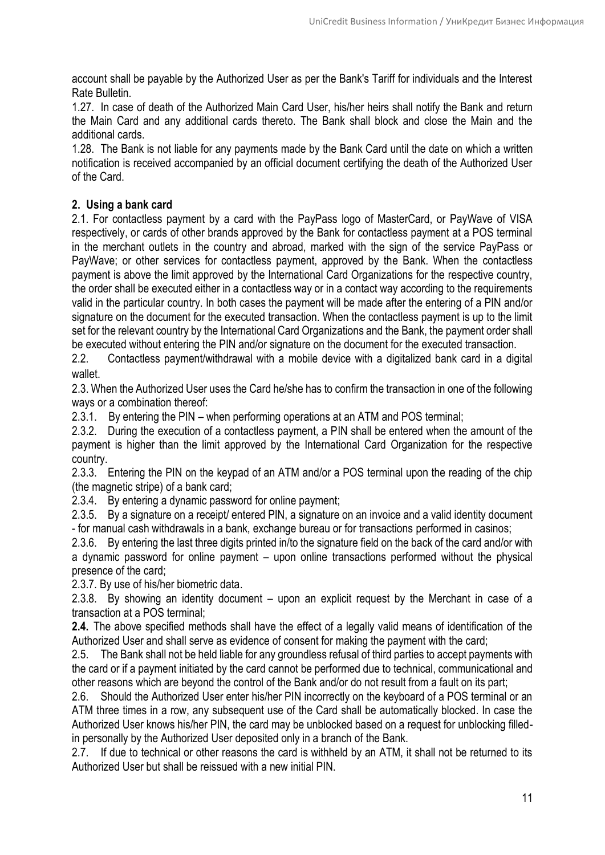account shall be payable by the Authorized User as per the Bank's Tariff for individuals and the Interest Rate Bulletin.

1.27. In case of death of the Authorized Main Card User, his/her heirs shall notify the Bank and return the Main Card and any additional cards thereto. The Bank shall block and close the Main and the additional cards.

1.28. The Bank is not liable for any payments made by the Bank Card until the date on which a written notification is received accompanied by an official document certifying the death of the Authorized User of the Card.

# **2. Using a bank card**

2.1. For contactless payment by a card with the PayPass logo of MasterCard, or PayWave of VISA respectively, or cards of other brands approved by the Bank for contactless payment at a POS terminal in the merchant outlets in the country and abroad, marked with the sign of the service PayPass or PayWave; or other services for contactless payment, approved by the Bank. When the contactless payment is above the limit approved by the International Card Organizations for the respective country, the order shall be executed either in a contactless way or in a contact way according to the requirements valid in the particular country. In both cases the payment will be made after the entering of a PIN and/or signature on the document for the executed transaction. When the contactless payment is up to the limit set for the relevant country by the International Card Organizations and the Bank, the payment order shall be executed without entering the PIN and/or signature on the document for the executed transaction.

2.2. Contactless payment/withdrawal with a mobile device with a digitalized bank card in a digital wallet.

2.3. When the Authorized User uses the Card he/she has to confirm the transaction in one of the following ways or a combination thereof:

2.3.1. By entering the PIN – when performing operations at an ATM and POS terminal;

2.3.2. During the execution of a contactless payment, a PIN shall be entered when the amount of the payment is higher than the limit approved by the International Card Organization for the respective country.

2.3.3. Entering the PIN on the keypad of an ATM and/or a POS terminal upon the reading of the chip (the magnetic stripe) of a bank card;

2.3.4. By entering a dynamic password for online payment;

2.3.5. By a signature on a receipt/ entered PIN, a signature on an invoice and a valid identity document - for manual cash withdrawals in a bank, exchange bureau or for transactions performed in casinos;

2.3.6. By entering the last three digits printed in/to the signature field on the back of the card and/or with a dynamic password for online payment – upon online transactions performed without the physical presence of the card;

2.3.7. By use of his/her biometric data.

2.3.8. By showing an identity document – upon an explicit request by the Merchant in case of a transaction at a POS terminal;

**2.4.** The above specified methods shall have the effect of a legally valid means of identification of the Authorized User and shall serve as evidence of consent for making the payment with the card;

2.5. The Bank shall not be held liable for any groundless refusal of third parties to accept payments with the card or if a payment initiated by the card cannot be performed due to technical, communicational and other reasons which are beyond the control of the Bank and/or do not result from a fault on its part;

2.6. Should the Authorized User enter his/her PIN incorrectly on the keyboard of a POS terminal or an ATM three times in a row, any subsequent use of the Card shall be automatically blocked. In case the Authorized User knows his/her PIN, the card may be unblocked based on a request for unblocking filledin personally by the Authorized User deposited only in a branch of the Bank.

2.7. If due to technical or other reasons the card is withheld by an ATM, it shall not be returned to its Authorized User but shall be reissued with a new initial PIN.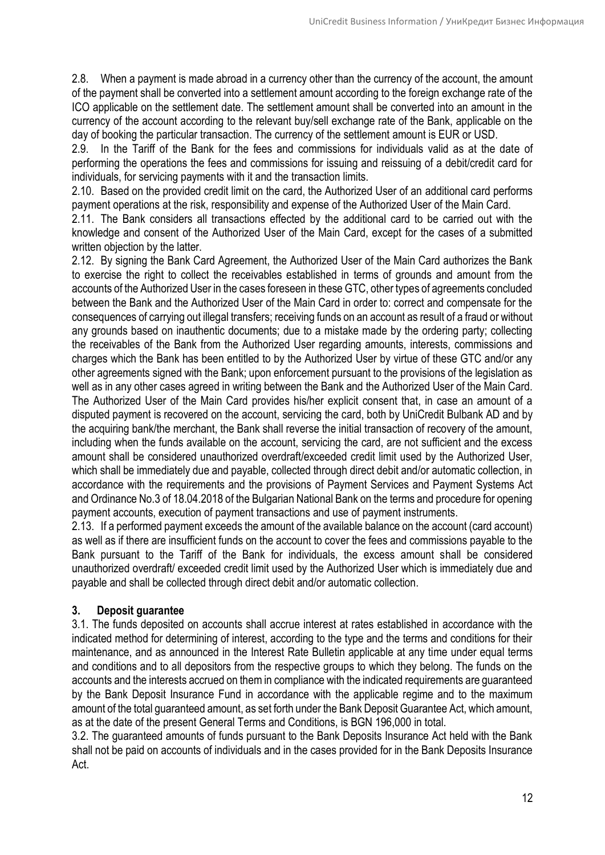2.8. When a payment is made abroad in a currency other than the currency of the account, the amount of the payment shall be converted into a settlement amount according to the foreign exchange rate of the ICO applicable on the settlement date. The settlement amount shall be converted into an amount in the currency of the account according to the relevant buy/sell exchange rate of the Bank, applicable on the day of booking the particular transaction. The currency of the settlement amount is EUR or USD.

2.9. In the Tariff of the Bank for the fees and commissions for individuals valid as at the date of performing the operations the fees and commissions for issuing and reissuing of a debit/credit card for individuals, for servicing payments with it and the transaction limits.

2.10. Based on the provided credit limit on the card, the Authorized User of an additional card performs payment operations at the risk, responsibility and expense of the Authorized User of the Main Card.

2.11. The Bank considers all transactions effected by the additional card to be carried out with the knowledge and consent of the Authorized User of the Main Card, except for the cases of a submitted written objection by the latter.

2.12. By signing the Bank Card Agreement, the Authorized User of the Main Card authorizes the Bank to exercise the right to collect the receivables established in terms of grounds and amount from the accounts of the Authorized User in the cases foreseen in these GTC, other types of agreements concluded between the Bank and the Authorized User of the Main Card in order to: correct and compensate for the consequences of carrying out illegal transfers; receiving funds on an account as result of a fraud or without any grounds based on inauthentic documents; due to a mistake made by the ordering party; collecting the receivables of the Bank from the Authorized User regarding amounts, interests, commissions and charges which the Bank has been entitled to by the Authorized User by virtue of these GTC and/or any other agreements signed with the Bank; upon enforcement pursuant to the provisions of the legislation as well as in any other cases agreed in writing between the Bank and the Authorized User of the Main Card. The Authorized User of the Main Card provides his/her explicit consent that, in case an amount of a disputed payment is recovered on the account, servicing the card, both by UniCredit Bulbank AD and by the acquiring bank/the merchant, the Bank shall reverse the initial transaction of recovery of the amount, including when the funds available on the account, servicing the card, are not sufficient and the excess amount shall be considered unauthorized overdraft/exceeded credit limit used by the Authorized User, which shall be immediately due and payable, collected through direct debit and/or automatic collection, in accordance with the requirements and the provisions of Payment Services and Payment Systems Act and Ordinance No.3 of 18.04.2018 of the Bulgarian National Bank on the terms and procedure for opening payment accounts, execution of payment transactions and use of payment instruments.

2.13. If a performed payment exceeds the amount of the available balance on the account (card account) as well as if there are insufficient funds on the account to cover the fees and commissions payable to the Bank pursuant to the Tariff of the Bank for individuals, the excess amount shall be considered unauthorized overdraft/ exceeded credit limit used by the Authorized User which is immediately due and payable and shall be collected through direct debit and/or automatic collection.

# **3. Deposit guarantee**

3.1. The funds deposited on accounts shall accrue interest at rates established in accordance with the indicated method for determining of interest, according to the type and the terms and conditions for their maintenance, and as announced in the Interest Rate Bulletin applicable at any time under equal terms and conditions and to all depositors from the respective groups to which they belong. The funds on the accounts and the interests accrued on them in compliance with the indicated requirements are guaranteed by the Bank Deposit Insurance Fund in accordance with the applicable regime and to the maximum amount of the total guaranteed amount, as set forth under the Bank Deposit Guarantee Act, which amount, as at the date of the present General Terms and Conditions, is BGN 196,000 in total.

3.2. The guaranteed amounts of funds pursuant to the Bank Deposits Insurance Act held with the Bank shall not be paid on accounts of individuals and in the cases provided for in the Bank Deposits Insurance Act.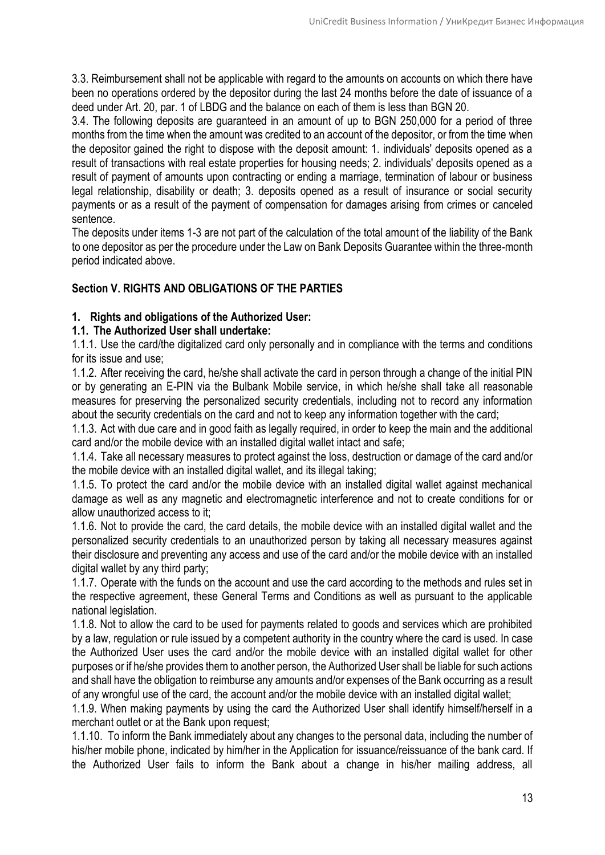3.3. Reimbursement shall not be applicable with regard to the amounts on accounts on which there have been no operations ordered by the depositor during the last 24 months before the date of issuance of a deed under [Art. 20, par. 1](http://web.apis.bg/p.php?i=2645760#p27498652) of LBDG and the balance on each of them is less than BGN 20.

3.4. The following deposits are guaranteed in an amount of up to BGN 250,000 for a period of three months from the time when the amount was credited to an account of the depositor, or from the time when the depositor gained the right to dispose with the deposit amount: 1. individuals' deposits opened as a result of transactions with real estate properties for housing needs; 2. individuals' deposits opened as a result of payment of amounts upon contracting or ending a marriage, termination of labour or business legal relationship, disability or death; 3. deposits opened as a result of insurance or social security payments or as a result of the payment of compensation for damages arising from crimes or canceled sentence.

The deposits under items 1-3 are not part of the calculation of the total amount of the liability of the Bank to one depositor as per the [procedure](http://web.apis.bg/p.php?i=2645760#p27498638) under the Law on Bank Deposits Guarantee within the three-month period indicated above.

# **Section V. RIGHTS AND OBLIGATIONS OF THE PARTIES**

# **1. Rights and obligations of the Authorized User:**

# **1.1. The Authorized User shall undertake:**

1.1.1. Use the card/the digitalized card only personally and in compliance with the terms and conditions for its issue and use;

1.1.2. After receiving the card, he/she shall activate the card in person through a change of the initial PIN or by generating an E-PIN via the Bulbank Mobile service, in which he/she shall take all reasonable measures for preserving the personalized security credentials, including not to record any information about the security credentials on the card and not to keep any information together with the card;

1.1.3. Act with due care and in good faith as legally required, in order to keep the main and the additional card and/or the mobile device with an installed digital wallet intact and safe;

1.1.4. Take all necessary measures to protect against the loss, destruction or damage of the card and/or the mobile device with an installed digital wallet, and its illegal taking;

1.1.5. To protect the card and/or the mobile device with an installed digital wallet against mechanical damage as well as any magnetic and electromagnetic interference and not to create conditions for or allow unauthorized access to it;

1.1.6. Not to provide the card, the card details, the mobile device with an installed digital wallet and the personalized security credentials to an unauthorized person by taking all necessary measures against their disclosure and preventing any access and use of the card and/or the mobile device with an installed digital wallet by any third party;

1.1.7. Operate with the funds on the account and use the card according to the methods and rules set in the respective agreement, these General Terms and Conditions as well as pursuant to the applicable national legislation.

1.1.8. Not to allow the card to be used for payments related to goods and services which are prohibited by a law, regulation or rule issued by a competent authority in the country where the card is used. In case the Authorized User uses the card and/or the mobile device with an installed digital wallet for other purposes or if he/she provides them to another person, the Authorized User shall be liable for such actions and shall have the obligation to reimburse any amounts and/or expenses of the Bank occurring as a result of any wrongful use of the card, the account and/or the mobile device with an installed digital wallet;

1.1.9. When making payments by using the card the Authorized User shall identify himself/herself in a merchant outlet or at the Bank upon request;

1.1.10. To inform the Bank immediately about any changes to the personal data, including the number of his/her mobile phone, indicated by him/her in the Application for issuance/reissuance of the bank card. If the Authorized User fails to inform the Bank about a change in his/her mailing address, all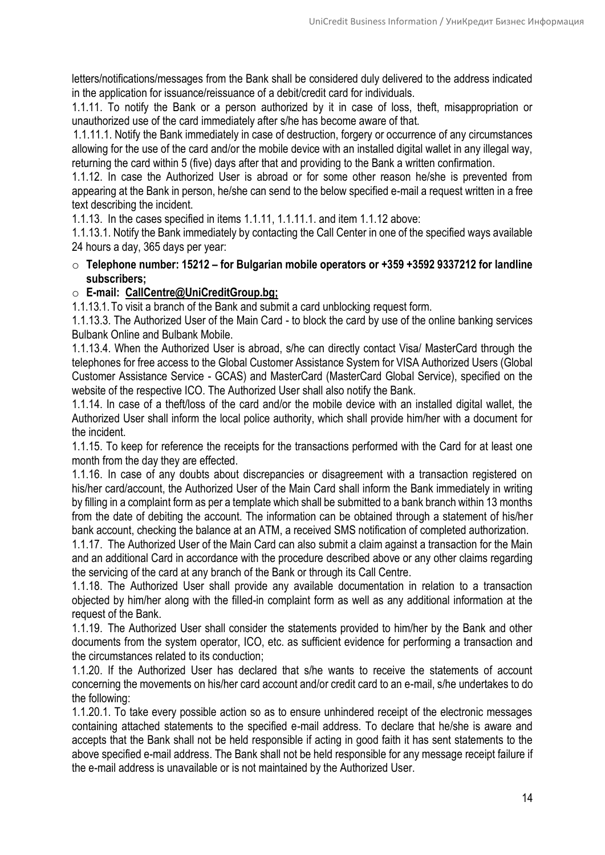letters/notifications/messages from the Bank shall be considered duly delivered to the address indicated in the application for issuance/reissuance of a debit/credit card for individuals.

1.1.11. To notify the Bank or a person authorized by it in case of loss, theft, misappropriation or unauthorized use of the card immediately after s/he has become aware of that.

 1.1.11.1. Notify the Bank immediately in case of destruction, forgery or occurrence of any circumstances allowing for the use of the card and/or the mobile device with an installed digital wallet in any illegal way, returning the card within 5 (five) days after that and providing to the Bank a written confirmation.

1.1.12. In case the Authorized User is abroad or for some other reason he/she is prevented from appearing at the Bank in person, he/she can send to the below specified e-mail a request written in a free text describing the incident.

1.1.13. In the cases specified in items 1.1.11, 1.1.11.1. and item 1.1.12 above:

1.1.13.1. Notify the Bank immediately by contacting the Call Center in one of the specified ways available 24 hours a day, 365 days per year:

o **Telephone number: 15212 – for Bulgarian mobile operators or +359 +3592 9337212 for landline subscribers;** 

# o **E-mail: [CallCentre@UniCreditGroup.bg;](mailto:CallCentre@UniCreditGroup.bg)**

1.1.13.1.To visit a branch of the Bank and submit a card unblocking request form.

1.1.13.3. The Authorized User of the Main Card - to block the card by use of the online banking services Bulbank Online and Bulbank Mobile.

1.1.13.4. When the Authorized User is abroad, s/he can directly contact Visa/ MasterCard through the telephones for free access to the Global Customer Assistance System for VISA Authorized Users (Global Customer Assistance Service - GCAS) and MasterCard (MasterCard Global Service), specified on the website of the respective ICO. The Authorized User shall also notify the Bank.

1.1.14. In case of a theft/loss of the card and/or the mobile device with an installed digital wallet, the Authorized User shall inform the local police authority, which shall provide him/her with a document for the incident.

1.1.15. To keep for reference the receipts for the transactions performed with the Card for at least one month from the day they are effected.

1.1.16. In case of any doubts about discrepancies or disagreement with a transaction registered on his/her card/account, the Authorized User of the Main Card shall inform the Bank immediately in writing by filling in a complaint form as per a template which shall be submitted to a bank branch within 13 months from the date of debiting the account. The information can be obtained through a statement of his/her bank account, checking the balance at an ATM, a received SMS notification of completed authorization.

1.1.17. The Authorized User of the Main Card can also submit a claim against a transaction for the Main and an additional Card in accordance with the procedure described above or any other claims regarding the servicing of the card at any branch of the Bank or through its Call Centre.

1.1.18. The Authorized User shall provide any available documentation in relation to a transaction objected by him/her along with the filled-in complaint form as well as any additional information at the request of the Bank.

1.1.19. The Authorized User shall consider the statements provided to him/her by the Bank and other documents from the system operator, ICO, etc. as sufficient evidence for performing a transaction and the circumstances related to its conduction;

1.1.20. If the Authorized User has declared that s/he wants to receive the statements of account concerning the movements on his/her card account and/or credit card to an e-mail, s/he undertakes to do the following:

1.1.20.1. To take every possible action so as to ensure unhindered receipt of the electronic messages containing attached statements to the specified e-mail address. To declare that he/she is aware and accepts that the Bank shall not be held responsible if acting in good faith it has sent statements to the above specified e-mail address. The Bank shall not be held responsible for any message receipt failure if the e-mail address is unavailable or is not maintained by the Authorized User.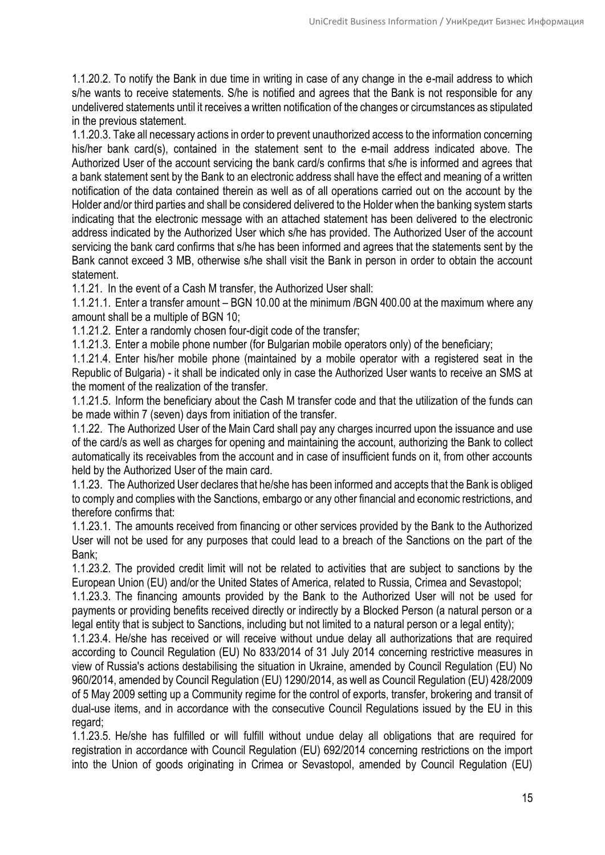1.1.20.2. To notify the Bank in due time in writing in case of any change in the e-mail address to which s/he wants to receive statements. S/he is notified and agrees that the Bank is not responsible for any undelivered statements until it receives a written notification of the changes or circumstances as stipulated in the previous statement.

1.1.20.3. Take all necessary actions in order to prevent unauthorized access to the information concerning his/her bank card(s), contained in the statement sent to the e-mail address indicated above. The Authorized User of the account servicing the bank card/s confirms that s/he is informed and agrees that a bank statement sent by the Bank to an electronic address shall have the effect and meaning of a written notification of the data contained therein as well as of all operations carried out on the account by the Holder and/or third parties and shall be considered delivered to the Holder when the banking system starts indicating that the electronic message with an attached statement has been delivered to the electronic address indicated by the Authorized User which s/he has provided. The Authorized User of the account servicing the bank card confirms that s/he has been informed and agrees that the statements sent by the Bank cannot exceed 3 MB, otherwise s/he shall visit the Bank in person in order to obtain the account statement.

1.1.21. In the event of a Cash M transfer, the Authorized User shall:

1.1.21.1. Enter a transfer amount – BGN 10.00 at the minimum /BGN 400.00 at the maximum where any amount shall be a multiple of BGN 10;

1.1.21.2. Enter a randomly chosen four-digit code of the transfer;

1.1.21.3. Enter a mobile phone number (for Bulgarian mobile operators only) of the beneficiary;

1.1.21.4. Enter his/her mobile phone (maintained by a mobile operator with a registered seat in the Republic of Bulgaria) - it shall be indicated only in case the Authorized User wants to receive an SMS at the moment of the realization of the transfer.

1.1.21.5. Inform the beneficiary about the Cash M transfer code and that the utilization of the funds can be made within 7 (seven) days from initiation of the transfer.

1.1.22. The Authorized User of the Main Card shall pay any charges incurred upon the issuance and use of the card/s as well as charges for opening and maintaining the account, authorizing the Bank to collect automatically its receivables from the account and in case of insufficient funds on it, from other accounts held by the Authorized User of the main card.

1.1.23. The Authorized User declares that he/she has been informed and accepts that the Bank is obliged to comply and complies with the Sanctions, embargo or any other financial and economic restrictions, and therefore confirms that:

1.1.23.1. The amounts received from financing or other services provided by the Bank to the Authorized User will not be used for any purposes that could lead to a breach of the Sanctions on the part of the Bank;

1.1.23.2. The provided credit limit will not be related to activities that are subject to sanctions by the European Union (EU) and/or the United States of America, related to Russia, Crimea and Sevastopol;

1.1.23.3. The financing amounts provided by the Bank to the Authorized User will not be used for payments or providing benefits received directly or indirectly by a Blocked Person (a natural person or a legal entity that is subject to Sanctions, including but not limited to a natural person or a legal entity);

1.1.23.4. He/she has received or will receive without undue delay all authorizations that are required according to Council Regulation (EU) No 833/2014 of 31 July 2014 concerning restrictive measures in view of Russia's actions destabilising the situation in Ukraine, amended by Council Regulation (EU) No 960/2014, amended by Council Regulation (EU) 1290/2014, as well as Council Regulation (EU) 428/2009 of 5 May 2009 setting up a Community regime for the control of exports, transfer, brokering and transit of dual-use items, and in accordance with the consecutive Council Regulations issued by the EU in this regard;

1.1.23.5. He/she has fulfilled or will fulfill without undue delay all obligations that are required for registration in accordance with Council Regulation (EU) 692/2014 concerning restrictions on the import into the Union of goods originating in Crimea or Sevastopol, amended by Council Regulation (EU)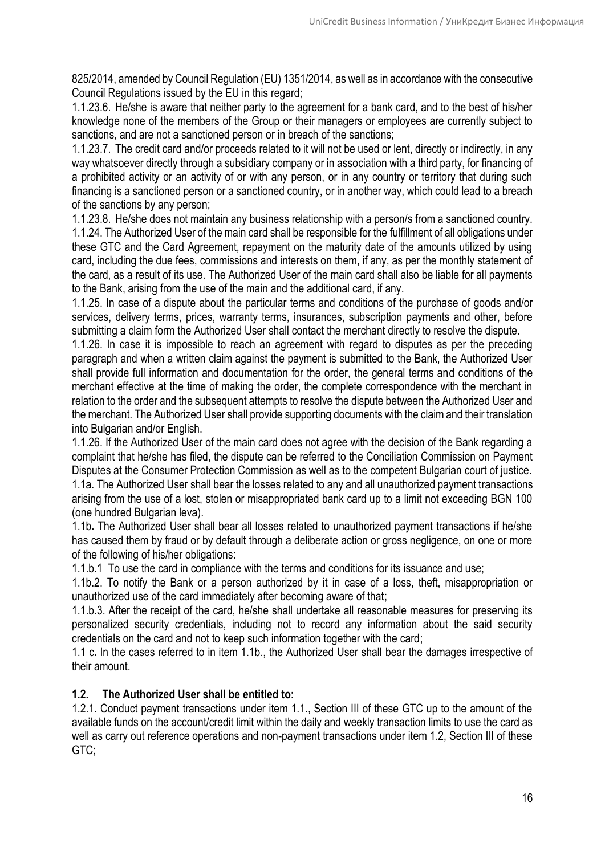825/2014, amended by Council Regulation (EU) 1351/2014, as well as in accordance with the consecutive Council Regulations issued by the EU in this regard;

1.1.23.6. He/she is aware that neither party to the agreement for a bank card, and to the best of his/her knowledge none of the members of the Group or their managers or employees are currently subject to sanctions, and are not a sanctioned person or in breach of the sanctions;

1.1.23.7. The credit card and/or proceeds related to it will not be used or lent, directly or indirectly, in any way whatsoever directly through a subsidiary company or in association with a third party, for financing of a prohibited activity or an activity of or with any person, or in any country or territory that during such financing is a sanctioned person or a sanctioned country, or in another way, which could lead to a breach of the sanctions by any person;

1.1.23.8. He/she does not maintain any business relationship with a person/s from a sanctioned country. 1.1.24. The Authorized User of the main card shall be responsible for the fulfillment of all obligations under these GTC and the Card Agreement, repayment on the maturity date of the amounts utilized by using card, including the due fees, commissions and interests on them, if any, as per the monthly statement of the card, as a result of its use. The Authorized User of the main card shall also be liable for all payments to the Bank, arising from the use of the main and the additional card, if any.

1.1.25. In case of a dispute about the particular terms and conditions of the purchase of goods and/or services, delivery terms, prices, warranty terms, insurances, subscription payments and other, before submitting a claim form the Authorized User shall contact the merchant directly to resolve the dispute.

1.1.26. In case it is impossible to reach an agreement with regard to disputes as per the preceding paragraph and when a written claim against the payment is submitted to the Bank, the Authorized User shall provide full information and documentation for the order, the general terms and conditions of the merchant effective at the time of making the order, the complete correspondence with the merchant in relation to the order and the subsequent attempts to resolve the dispute between the Authorized User and the merchant. The Authorized User shall provide supporting documents with the claim and their translation into Bulgarian and/or English.

1.1.26. If the Authorized User of the main card does not agree with the decision of the Bank regarding a complaint that he/she has filed, the dispute can be referred to the Conciliation Commission on Payment Disputes at the Consumer Protection Commission as well as to the competent Bulgarian court of justice. 1.1а. The Authorized User shall bear the losses related to any and all unauthorized payment transactions arising from the use of a lost, stolen or misappropriated bank card up to a limit not exceeding BGN 100 (one hundred Bulgarian leva).

1.1b**.** The Authorized User shall bear all losses related to unauthorized payment transactions if he/she has caused them by fraud or by default through a deliberate action or gross negligence, on one or more of the following of his/her obligations:

1.1.b.1 Тo use the card in compliance with the terms and conditions for its issuance and use;

1.1b.2. Тo notify the Bank or a person authorized by it in case of a loss, theft, misappropriation or unauthorized use of the card immediately after becoming aware of that;

1.1.b.3. Аfter the receipt of the card, he/she shall undertake all reasonable measures for preserving its personalized security credentials, including not to record any information about the said security credentials on the card and not to keep such information together with the card;

1.1 c**.** In the cases referred to in item 1.1b., the Authorized User shall bear the damages irrespective of their amount.

# **1.2. The Authorized User shall be entitled to:**

1.2.1. Conduct payment transactions under item 1.1., Section III of these GTC up to the amount of the available funds on the account/credit limit within the daily and weekly transaction limits to use the card as well as carry out reference operations and non-payment transactions under item 1.2, Section III of these GTC;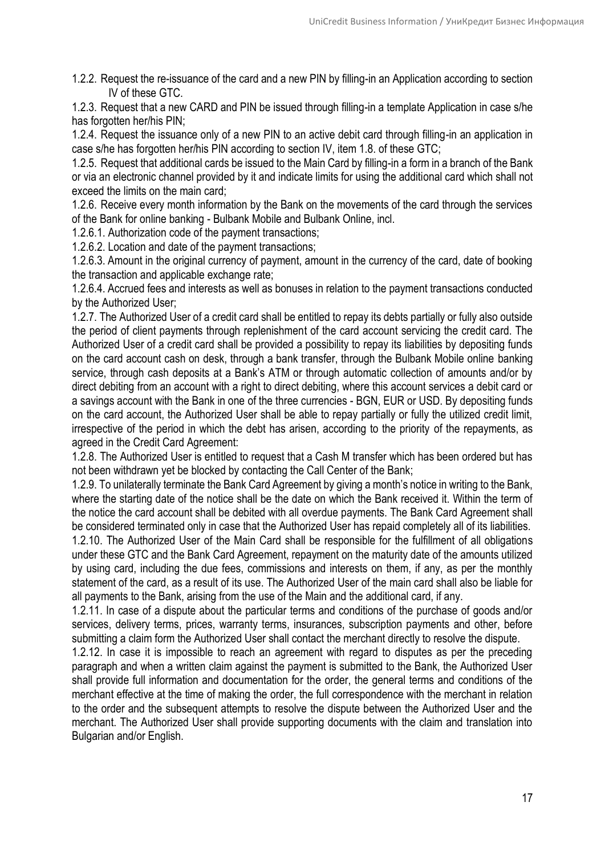1.2.2. Request the re-issuance of the card and a new PIN by filling-in an Application according to section IV of these GTC.

1.2.3. Request that a new CARD and PIN be issued through filling-in a template Application in case s/he has forgotten her/his PIN:

1.2.4. Request the issuance only of a new PIN to an active debit card through filling-in an application in case s/he has forgotten her/his PIN according to section IV, item 1.8. of these GTC;

1.2.5. Request that additional cards be issued to the Main Card by filling-in a form in a branch of the Bank or via an electronic channel provided by it and indicate limits for using the additional card which shall not exceed the limits on the main card;

1.2.6. Receive every month information by the Bank on the movements of the card through the services of the Bank for online banking - Bulbank Mobile and Bulbank Online, incl.

1.2.6.1. Authorization code of the payment transactions;

1.2.6.2. Location and date of the payment transactions;

1.2.6.3. Amount in the original currency of payment, amount in the currency of the card, date of booking the transaction and applicable exchange rate;

1.2.6.4. Accrued fees and interests as well as bonuses in relation to the payment transactions conducted by the Authorized User;

1.2.7. The Authorized User of a credit card shall be entitled to repay its debts partially or fully also outside the period of client payments through replenishment of the card account servicing the credit card. The Authorized User of a credit card shall be provided a possibility to repay its liabilities by depositing funds on the card account cash on desk, through a bank transfer, through the Bulbank Mobile online banking service, through cash deposits at a Bank's ATM or through automatic collection of amounts and/or by direct debiting from an account with a right to direct debiting, where this account services a debit card or a savings account with the Bank in one of the three currencies - BGN, EUR or USD. By depositing funds on the card account, the Authorized User shall be able to repay partially or fully the utilized credit limit, irrespective of the period in which the debt has arisen, according to the priority of the repayments, as agreed in the Credit Card Agreement:

1.2.8. The Authorized User is entitled to request that a Cash M transfer which has been ordered but has not been withdrawn yet be blocked by contacting the Call Center of the Bank;

1.2.9. To unilaterally terminate the Bank Card Agreement by giving a month's notice in writing to the Bank, where the starting date of the notice shall be the date on which the Bank received it. Within the term of the notice the card account shall be debited with all overdue payments. The Bank Card Agreement shall be considered terminated only in case that the Authorized User has repaid completely all of its liabilities.

1.2.10. The Authorized User of the Main Card shall be responsible for the fulfillment of all obligations under these GTC and the Bank Card Agreement, repayment on the maturity date of the amounts utilized by using card, including the due fees, commissions and interests on them, if any, as per the monthly statement of the card, as a result of its use. The Authorized User of the main card shall also be liable for all payments to the Bank, arising from the use of the Main and the additional card, if any.

1.2.11. In case of a dispute about the particular terms and conditions of the purchase of goods and/or services, delivery terms, prices, warranty terms, insurances, subscription payments and other, before submitting a claim form the Authorized User shall contact the merchant directly to resolve the dispute.

1.2.12. In case it is impossible to reach an agreement with regard to disputes as per the preceding paragraph and when a written claim against the payment is submitted to the Bank, the Authorized User shall provide full information and documentation for the order, the general terms and conditions of the merchant effective at the time of making the order, the full correspondence with the merchant in relation to the order and the subsequent attempts to resolve the dispute between the Authorized User and the merchant. The Authorized User shall provide supporting documents with the claim and translation into Bulgarian and/or English.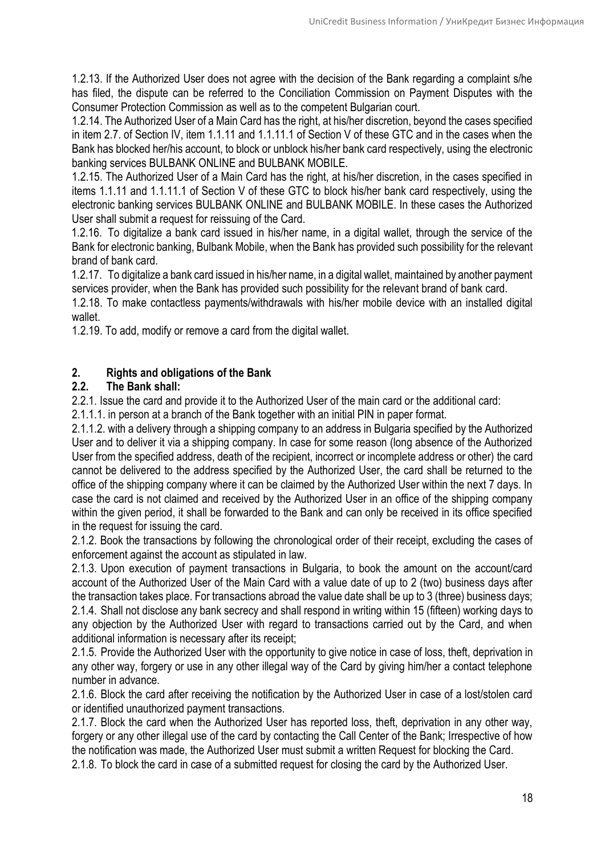1.2.13. If the Authorized User does not agree with the decision of the Bank regarding a complaint s/he has filed, the dispute can be referred to the Conciliation Commission on Payment Disputes with the Consumer Protection Commission as well as to the competent Bulgarian court.

1.2.14. The Authorized User of a Main Card has the right, at his/her discretion, beyond the cases specified in item 2.7. of Section IV, item 1.1.11 and 1.1.11.1 of Section V of these GTC and in the cases when the Bank has blocked her/his account, to block or unblock his/her bank card respectively, using the electronic banking services BULBANK ONLINE and BULBANK MOBILE.

1.2.15. The Authorized User of a Main Card has the right, at his/her discretion, in the cases specified in items 1.1.11 and 1.1.11.1 of Section V of these GTC to block his/her bank card respectively, using the electronic banking services BULBANK ONLINE and BULBANK MOBILE. In these cases the Authorized User shall submit a request for reissuing of the Card.

1.2.16. To digitalize a bank card issued in his/her name, in a digital wallet, through the service of the Bank for electronic banking, Bulbank Mobile, when the Bank has provided such possibility for the relevant brand of bank card.

1.2.17. To digitalize a bank card issued in his/her name, in a digital wallet, maintained by another payment services provider, when the Bank has provided such possibility for the relevant brand of bank card.

1.2.18. To make contactless payments/withdrawals with his/her mobile device with an installed digital wallet.

1.2.19. To add, modify or remove a card from the digital wallet.

# **2. Rights and obligations of the Bank**

# **2.2. The Bank shall:**

2.2.1. Issue the card and provide it to the Authorized User of the main card or the additional card:

2.1.1.1. in person at a branch of the Bank together with an initial PIN in paper format.

2.1.1.2. with a delivery through a shipping company to an address in Bulgaria specified by the Authorized User and to deliver it via a shipping company. In case for some reason (long absence of the Authorized User from the specified address, death of the recipient, incorrect or incomplete address or other) the card cannot be delivered to the address specified by the Authorized User, the card shall be returned to the office of the shipping company where it can be claimed by the Authorized User within the next 7 days. In case the card is not claimed and received by the Authorized User in an office of the shipping company within the given period, it shall be forwarded to the Bank and can only be received in its office specified in the request for issuing the card.

2.1.2. Book the transactions by following the chronological order of their receipt, excluding the cases of enforcement against the account as stipulated in law.

2.1.3. Upon execution of payment transactions in Bulgaria, to book the amount on the account/card account of the Authorized User of the Main Card with a value date of up to 2 (two) business days after the transaction takes place. For transactions abroad the value date shall be up to 3 (three) business days; 2.1.4. Shall not disclose any bank secrecy and shall respond in writing within 15 (fifteen) working days to any objection by the Authorized User with regard to transactions carried out by the Card, and when additional information is necessary after its receipt;

2.1.5. Provide the Authorized User with the opportunity to give notice in case of loss, theft, deprivation in any other way, forgery or use in any other illegal way of the Card by giving him/her a contact telephone number in advance.

2.1.6. Block the card after receiving the notification by the Authorized User in case of a lost/stolen card or identified unauthorized payment transactions.

2.1.7. Block the card when the Authorized User has reported loss, theft, deprivation in any other way, forgery or any other illegal use of the card by contacting the Call Center of the Bank; Irrespective of how the notification was made, the Authorized User must submit a written Request for blocking the Card.

2.1.8. To block the card in case of a submitted request for closing the card by the Authorized User.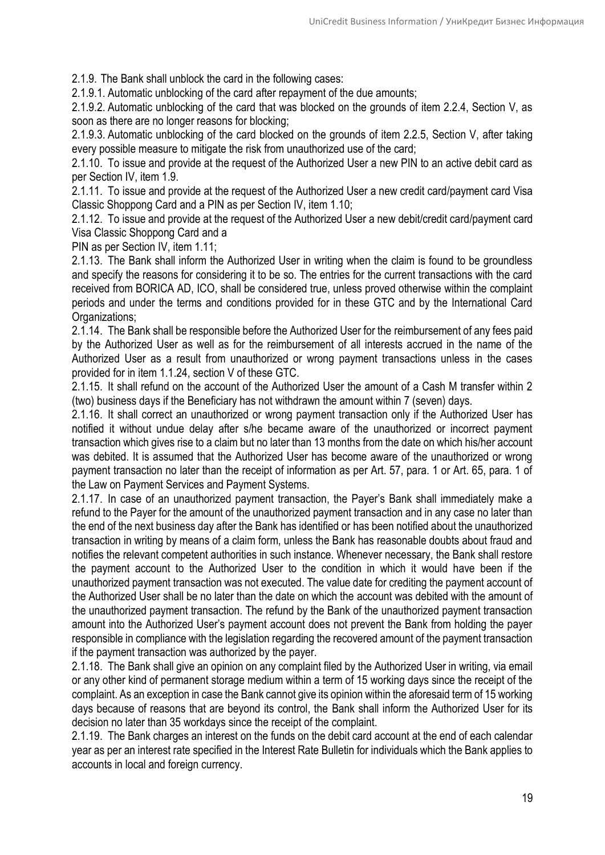2.1.9. The Bank shall unblock the card in the following cases:

2.1.9.1. Automatic unblocking of the card after repayment of the due amounts;

2.1.9.2. Automatic unblocking of the card that was blocked on the grounds of item 2.2.4, Section V, as soon as there are no longer reasons for blocking;

2.1.9.3. Automatic unblocking of the card blocked on the grounds of item 2.2.5, Section V, after taking every possible measure to mitigate the risk from unauthorized use of the card;

2.1.10. To issue and provide at the request of the Authorized User a new PIN to an active debit card as per Section IV, item 1.9.

2.1.11. To issue and provide at the request of the Authorized User a new credit card/payment card Visa Classic Shoppong Card and a PIN as per Section IV, item 1.10;

2.1.12. To issue and provide at the request of the Authorized User a new debit/credit card/payment card Visa Classic Shoppong Card and a

PIN as per Section IV, item 1.11;

2.1.13. The Bank shall inform the Authorized User in writing when the claim is found to be groundless and specify the reasons for considering it to be so. The entries for the current transactions with the card received from BORICA AD, ICO, shall be considered true, unless proved otherwise within the complaint periods and under the terms and conditions provided for in these GTC and by the International Card Organizations:

2.1.14. The Bank shall be responsible before the Authorized User for the reimbursement of any fees paid by the Authorized User as well as for the reimbursement of all interests accrued in the name of the Authorized User as a result from unauthorized or wrong payment transactions unless in the cases provided for in item 1.1.24, section V of these GTC.

2.1.15. It shall refund on the account of the Authorized User the amount of a Cash M transfer within 2 (two) business days if the Beneficiary has not withdrawn the amount within 7 (seven) days.

2.1.16. It shall correct an unauthorized or wrong payment transaction only if the Authorized User has notified it without undue delay after s/he became aware of the unauthorized or incorrect payment transaction which gives rise to a claim but no later than 13 months from the date on which his/her account was debited. It is assumed that the Authorized User has become aware of the unauthorized or wrong payment transaction no later than the receipt of information as per Art. 57, para. 1 or Art. 65, para. 1 of the Law on Payment Services and Payment Systems.

2.1.17. In case of an unauthorized payment transaction, the Payer's Bank shall immediately make a refund to the Payer for the amount of the unauthorized payment transaction and in any case no later than the end of the next business day after the Bank has identified or has been notified about the unauthorized transaction in writing by means of a claim form, unless the Bank has reasonable doubts about fraud and notifies the relevant competent authorities in such instance. Whenever necessary, the Bank shall restore the payment account to the Authorized User to the condition in which it would have been if the unauthorized payment transaction was not executed. The value date for crediting the payment account of the Authorized User shall be no later than the date on which the account was debited with the amount of the unauthorized payment transaction. The refund by the Bank of the unauthorized payment transaction amount into the Authorized User's payment account does not prevent the Bank from holding the payer responsible in compliance with the legislation regarding the recovered amount of the payment transaction if the payment transaction was authorized by the payer.

2.1.18. The Bank shall give an opinion on any complaint filed by the Authorized User in writing, via email or any other kind of permanent storage medium within a term of 15 working days since the receipt of the complaint. As an exception in case the Bank cannot give its opinion within the aforesaid term of 15 working days because of reasons that are beyond its control, the Bank shall inform the Authorized User for its decision no later than 35 workdays since the receipt of the complaint.

2.1.19. The Bank charges an interest on the funds on the debit card account at the end of each calendar year as per an interest rate specified in the Interest Rate Bulletin for individuals which the Bank applies to accounts in local and foreign currency.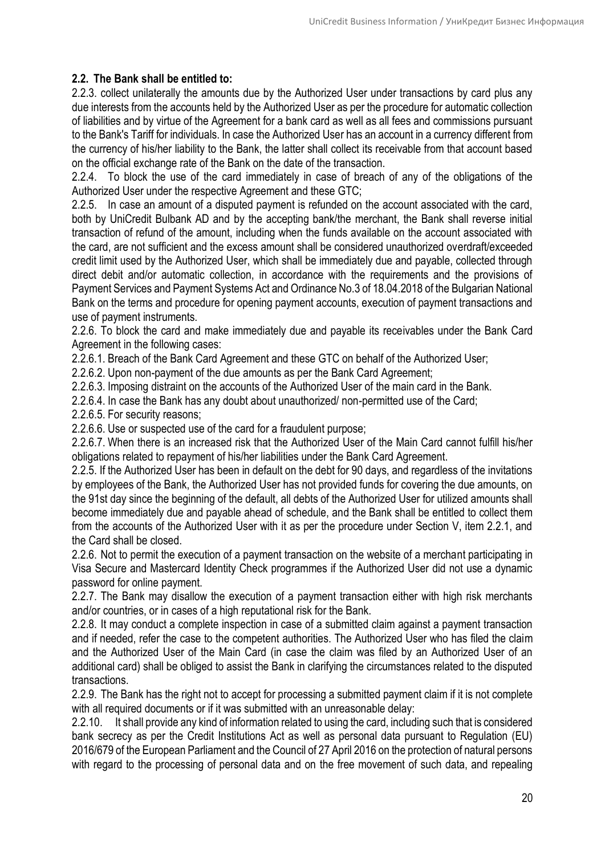# **2.2. The Bank shall be entitled to:**

2.2.3. collect unilaterally the amounts due by the Authorized User under transactions by card plus any due interests from the accounts held by the Authorized User as per the procedure for automatic collection of liabilities and by virtue of the Agreement for a bank card as well as all fees and commissions pursuant to the Bank's Tariff for individuals. In case the Authorized User has an account in a currency different from the currency of his/her liability to the Bank, the latter shall collect its receivable from that account based on the official exchange rate of the Bank on the date of the transaction.

2.2.4. To block the use of the card immediately in case of breach of any of the obligations of the Authorized User under the respective Agreement and these GTC;

2.2.5. In case an amount of a disputed payment is refunded on the account associated with the card, both by UniCredit Bulbank AD and by the accepting bank/the merchant, the Bank shall reverse initial transaction of refund of the amount, including when the funds available on the account associated with the card, are not sufficient and the excess amount shall be considered unauthorized overdraft/exceeded credit limit used by the Authorized User, which shall be immediately due and payable, collected through direct debit and/or automatic collection, in accordance with the requirements and the provisions of Payment Services and Payment Systems Act and Ordinance No.3 of 18.04.2018 of the Bulgarian National Bank on the terms and procedure for opening payment accounts, execution of payment transactions and use of payment instruments.

2.2.6. To block the card and make immediately due and payable its receivables under the Bank Card Agreement in the following cases:

2.2.6.1. Breach of the Bank Card Agreement and these GTC on behalf of the Authorized User;

2.2.6.2. Upon non-payment of the due amounts as per the Bank Card Agreement:

2.2.6.3. Imposing distraint on the accounts of the Authorized User of the main card in the Bank.

2.2.6.4. In case the Bank has any doubt about unauthorized/ non-permitted use of the Card;

2.2.6.5. For security reasons;

2.2.6.6. Use or suspected use of the card for a fraudulent purpose;

2.2.6.7. When there is an increased risk that the Authorized User of the Main Card cannot fulfill his/her obligations related to repayment of his/her liabilities under the Bank Card Agreement.

2.2.5. If the Authorized User has been in default on the debt for 90 days, and regardless of the invitations by employees of the Bank, the Authorized User has not provided funds for covering the due amounts, on the 91st day since the beginning of the default, all debts of the Authorized User for utilized amounts shall become immediately due and payable ahead of schedule, and the Bank shall be entitled to collect them from the accounts of the Authorized User with it as per the procedure under Section V, item 2.2.1, and the Card shall be closed.

2.2.6. Not to permit the execution of a payment transaction on the website of a merchant participating in Visa Secure and Mastercard Identity Check programmes if the Authorized User did not use a dynamic password for online payment.

2.2.7. The Bank may disallow the execution of a payment transaction either with high risk merchants and/or countries, or in cases of a high reputational risk for the Bank.

2.2.8. It may conduct a complete inspection in case of a submitted claim against a payment transaction and if needed, refer the case to the competent authorities. The Authorized User who has filed the claim and the Authorized User of the Main Card (in case the claim was filed by an Authorized User of an additional card) shall be obliged to assist the Bank in clarifying the circumstances related to the disputed transactions.

2.2.9. The Bank has the right not to accept for processing a submitted payment claim if it is not complete with all required documents or if it was submitted with an unreasonable delay:

2.2.10. It shall provide any kind of information related to using the card, including such that is considered bank secrecy as per the Credit Institutions Act as well as personal data pursuant to Regulation (EU) 2016/679 of the European Parliament and the Council of 27 April 2016 on the protection of natural persons with regard to the processing of personal data and on the free movement of such data, and repealing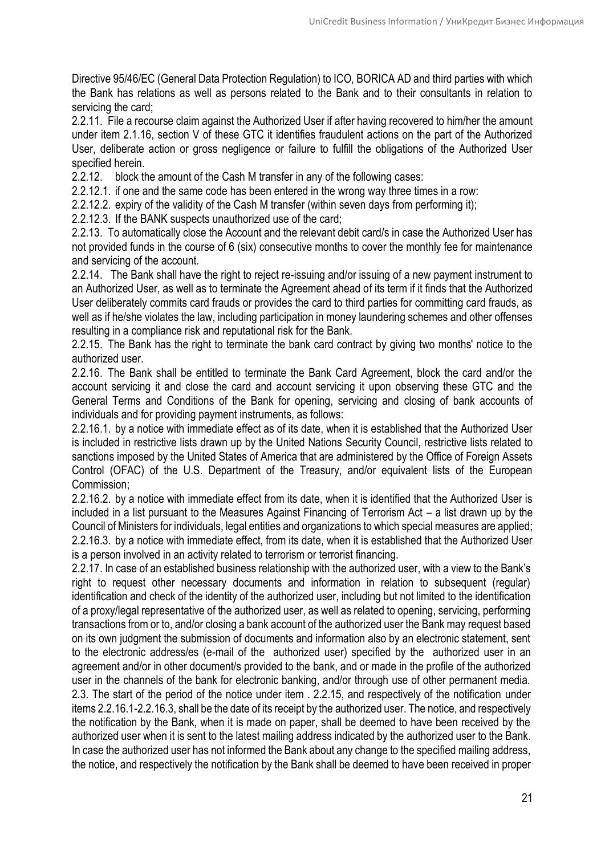Directive 95/46/EC (General Data Protection Regulation) to ICO, BORICA AD and third parties with which the Bank has relations as well as persons related to the Bank and to their consultants in relation to servicing the card;

2.2.11. File a recourse claim against the Authorized User if after having recovered to him/her the amount under item 2.1.16, section V of these GTC it identifies fraudulent actions on the part of the Authorized User, deliberate action or gross negligence or failure to fulfill the obligations of the Authorized User specified herein.

2.2.12. block the amount of the Cash M transfer in any of the following cases:

2.2.12.1. if one and the same code has been entered in the wrong way three times in a row:

2.2.12.2. expiry of the validity of the Cash M transfer (within seven days from performing it);

2.2.12.3. If the BANK suspects unauthorized use of the card;

2.2.13. To automatically close the Account and the relevant debit card/s in case the Authorized User has not provided funds in the course of 6 (six) consecutive months to cover the monthly fee for maintenance and servicing of the account.

2.2.14. The Bank shall have the right to reject re-issuing and/or issuing of a new payment instrument to an Authorized User, as well as to terminate the Agreement ahead of its term if it finds that the Authorized User deliberately commits card frauds or provides the card to third parties for committing card frauds, as well as if he/she violates the law, including participation in money laundering schemes and other offenses resulting in a compliance risk and reputational risk for the Bank.

2.2.15. The Bank has the right to terminate the bank card contract by giving two months' notice to the authorized user.

2.2.16. The Bank shall be entitled to terminate the Bank Card Agreement, block the card and/or the account servicing it and close the card and account servicing it upon observing these GTC and the General Terms and Conditions of the Bank for opening, servicing and closing of bank accounts of individuals and for providing payment instruments, as follows:

2.2.16.1. by a notice with immediate effect as of its date, when it is established that the Authorized User is included in restrictive lists drawn up by the United Nations Security Council, restrictive lists related to sanctions imposed by the United States of America that are administered by the Office of Foreign Assets Control (OFAC) of the U.S. Department of the Treasury, and/or equivalent lists of the European Commission;

2.2.16.2. by a notice with immediate effect from its date, when it is identified that the Authorized User is included in a list pursuant to the Measures Against Financing of Terrorism Act – a list drawn up by the Council of Ministers for individuals, legal entities and organizations to which special measures are applied; 2.2.16.3. by a notice with immediate effect, from its date, when it is established that the Authorized User is a person involved in an activity related to terrorism or terrorist financing.

2.2.17. In case of an established business relationship with the authorized user, with a view to the Bank's right to request other necessary documents and information in relation to subsequent (regular) identification and check of the identity of the authorized user, including but not limited to the identification of a proxy/legal representative of the authorized user, as well as related to opening, servicing, performing transactions from or to, and/or closing a bank account of the authorized user the Bank may request based on its own judgment the submission of documents and information also by an electronic statement, sent to the electronic address/es (e-mail of the authorized user) specified by the authorized user in an agreement and/or in other document/s provided to the bank, and or made in the profile of the authorized user in the channels of the bank for electronic banking, and/or through use of other permanent media. 2.3. The start of the period of the notice under item . 2.2.15, and respectively of the notification under items 2.2.16.1-2.2.16.3, shall be the date of its receipt by the authorized user. The notice, and respectively the notification by the Bank, when it is made on paper, shall be deemed to have been received by the authorized user when it is sent to the latest mailing address indicated by the authorized user to the Bank. In case the authorized user has not informed the Bank about any change to the specified mailing address, the notice, and respectively the notification by the Bank shall be deemed to have been received in proper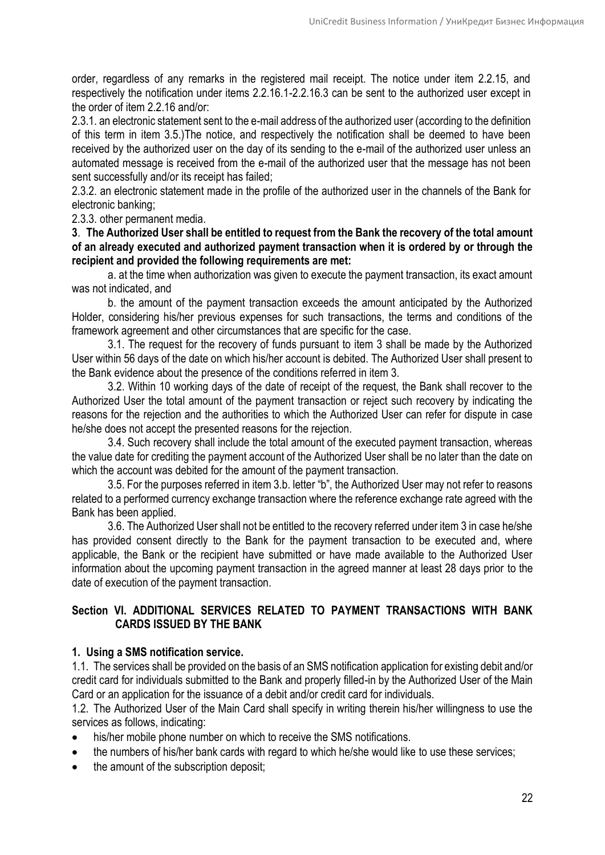order, regardless of any remarks in the registered mail receipt. The notice under item 2.2.15, and respectively the notification under items 2.2.16.1-2.2.16.3 can be sent to the authorized user except in the order of item 2.2.16 and/or:

2.3.1. an electronic statement sent to the e-mail address of the authorized user (according to the definition of this term in item 3.5.)The notice, and respectively the notification shall be deemed to have been received by the authorized user on the day of its sending to the e-mail of the authorized user unless an automated message is received from the e-mail of the authorized user that the message has not been sent successfully and/or its receipt has failed;

2.3.2. an electronic statement made in the profile of the authorized user in the channels of the Bank for electronic banking;

2.3.3. other permanent media.

**3**. **The Authorized User shall be entitled to request from the Bank the recovery of the total amount of an already executed and authorized payment transaction when it is ordered by or through the recipient and provided the following requirements are met:**

а. at the time when authorization was given to execute the payment transaction, its exact amount was not indicated, and

b. the amount of the payment transaction exceeds the amount anticipated by the Authorized Holder, considering his/her previous expenses for such transactions, the terms and conditions of the framework agreement and other circumstances that are specific for the case.

3.1. The request for the recovery of funds pursuant to item 3 shall be made by the Authorized User within 56 days of the date on which his/her account is debited. The Authorized User shall present to the Bank evidence about the presence of the conditions referred in item 3.

3.2. Within 10 working days of the date of receipt of the request, the Bank shall recover to the Authorized User the total amount of the payment transaction or reject such recovery by indicating the reasons for the rejection and the authorities to which the Authorized User can refer for dispute in case he/she does not accept the presented reasons for the rejection.

3.4. Such recovery shall include the total amount of the executed payment transaction, whereas the value date for crediting the payment account of the Authorized User shall be no later than the date on which the account was debited for the amount of the payment transaction.

3.5. For the purposes referred in item 3.b. letter "b", the Authorized User may not refer to reasons related to a performed currency exchange transaction where the reference exchange rate agreed with the Bank has been applied.

3.6. The Authorized User shall not be entitled to the recovery referred under item 3 in case he/she has provided consent directly to the Bank for the payment transaction to be executed and, where applicable, the Bank or the recipient have submitted or have made available to the Authorized User information about the upcoming payment transaction in the agreed manner at least 28 days prior to the date of execution of the payment transaction.

# **Section VI. ADDITIONAL SERVICES RELATED TO PAYMENT TRANSACTIONS WITH BANK CARDS ISSUED BY THE BANK**

# **1. Using a SMS notification service.**

1.1. The services shall be provided on the basis of an SMS notification application for existing debit and/or credit card for individuals submitted to the Bank and properly filled-in by the Authorized User of the Main Card or an application for the issuance of a debit and/or credit card for individuals.

1.2. The Authorized User of the Main Card shall specify in writing therein his/her willingness to use the services as follows, indicating:

- his/her mobile phone number on which to receive the SMS notifications.
- the numbers of his/her bank cards with regard to which he/she would like to use these services;
- the amount of the subscription deposit;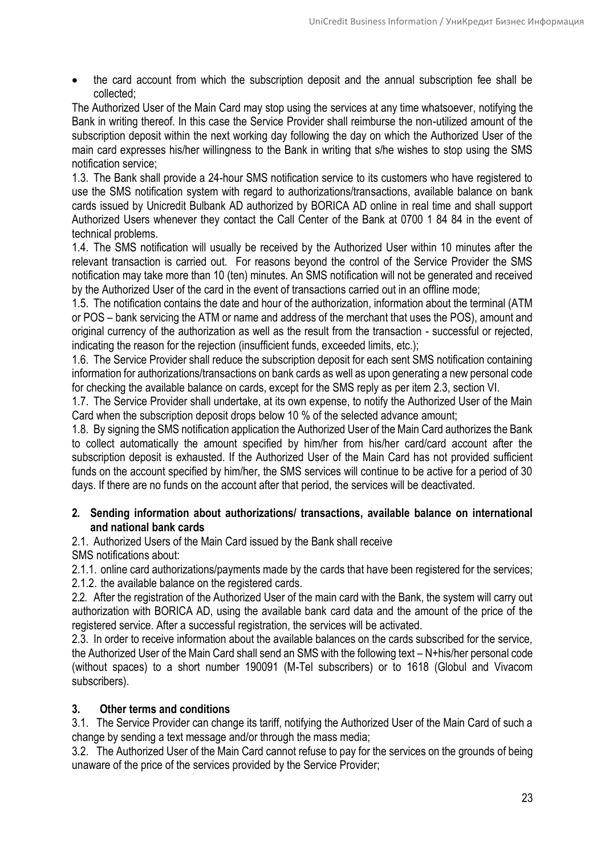the card account from which the subscription deposit and the annual subscription fee shall be collected;

The Authorized User of the Main Card may stop using the services at any time whatsoever, notifying the Bank in writing thereof. In this case the Service Provider shall reimburse the non-utilized amount of the subscription deposit within the next working day following the day on which the Authorized User of the main card expresses his/her willingness to the Bank in writing that s/he wishes to stop using the SMS notification service;

1.3. The Bank shall provide a 24-hour SMS notification service to its customers who have registered to use the SMS notification system with regard to authorizations/transactions, available balance on bank cards issued by Unicredit Bulbank AD authorized by BORICA AD online in real time and shall support Authorized Users whenever they contact the Call Center of the Bank at 0700 1 84 84 in the event of technical problems.

1.4. The SMS notification will usually be received by the Authorized User within 10 minutes after the relevant transaction is carried out. For reasons beyond the control of the Service Provider the SMS notification may take more than 10 (ten) minutes. An SMS notification will not be generated and received by the Authorized User of the card in the event of transactions carried out in an offline mode;

1.5. The notification contains the date and hour of the authorization, information about the terminal (ATM or POS – bank servicing the ATM or name and address of the merchant that uses the POS), amount and original currency of the authorization as well as the result from the transaction - successful or rejected, indicating the reason for the rejection (insufficient funds, exceeded limits, etc.);

1.6. The Service Provider shall reduce the subscription deposit for each sent SMS notification containing information for authorizations/transactions on bank cards as well as upon generating a new personal code for checking the available balance on cards, except for the SMS reply as per item 2.3, section VI.

1.7. The Service Provider shall undertake, at its own expense, to notify the Authorized User of the Main Card when the subscription deposit drops below 10 % of the selected advance amount;

1.8. By signing the SMS notification application the Authorized User of the Main Card authorizes the Bank to collect automatically the amount specified by him/her from his/her card/card account after the subscription deposit is exhausted. If the Authorized User of the Main Card has not provided sufficient funds on the account specified by him/her, the SMS services will continue to be active for a period of 30 days. If there are no funds on the account after that period, the services will be deactivated.

# **2. Sending information about authorizations/ transactions, available balance on international and national bank cards**

2.1. Authorized Users of the Main Card issued by the Bank shall receive SMS notifications about:

2.1.1. online card authorizations/payments made by the cards that have been registered for the services; 2.1.2. the available balance on the registered cards.

2.2. After the registration of the Authorized User of the main card with the Bank, the system will carry out authorization with BORICA AD, using the available bank card data and the amount of the price of the registered service. After a successful registration, the services will be activated.

2.3. In order to receive information about the available balances on the cards subscribed for the service, the Authorized User of the Main Card shall send an SMS with the following text – N+his/her personal code (without spaces) to a short number 190091 (М-Tel subscribers) or to 1618 (Globul and Vivacom subscribers).

# **3. Other terms and conditions**

3.1. The Service Provider can change its tariff, notifying the Authorized User of the Main Card of such a change by sending a text message and/or through the mass media;

3.2. The Authorized User of the Main Card cannot refuse to pay for the services on the grounds of being unaware of the price of the services provided by the Service Provider;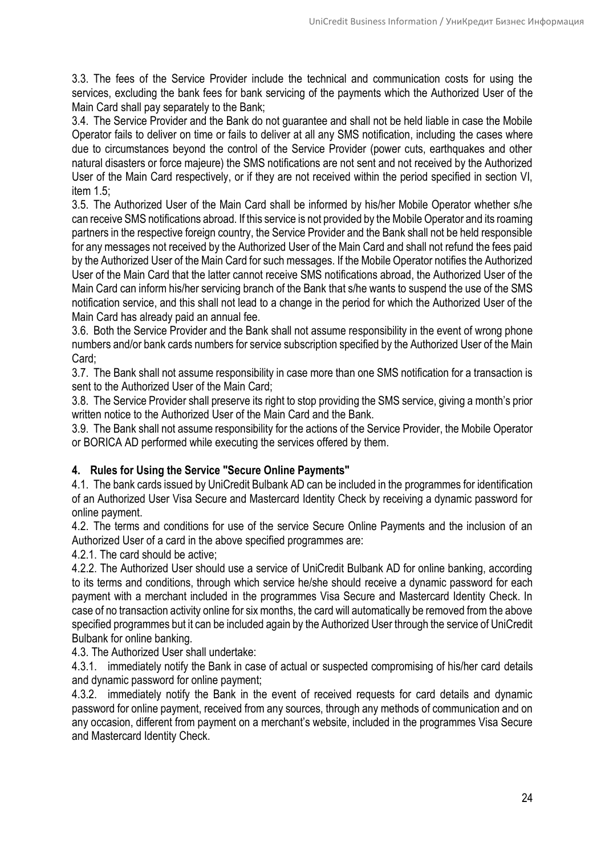3.3. The fees of the Service Provider include the technical and communication costs for using the services, excluding the bank fees for bank servicing of the payments which the Authorized User of the Main Card shall pay separately to the Bank;

3.4. The Service Provider and the Bank do not guarantee and shall not be held liable in case the Mobile Operator fails to deliver on time or fails to deliver at all any SMS notification, including the cases where due to circumstances beyond the control of the Service Provider (power cuts, earthquakes and other natural disasters or force majeure) the SMS notifications are not sent and not received by the Authorized User of the Main Card respectively, or if they are not received within the period specified in section VI, item 1.5;

3.5. The Authorized User of the Main Card shall be informed by his/her Mobile Operator whether s/he can receive SMS notifications abroad. If this service is not provided by the Mobile Operator and its roaming partners in the respective foreign country, the Service Provider and the Bank shall not be held responsible for any messages not received by the Authorized User of the Main Card and shall not refund the fees paid by the Authorized User of the Main Card for such messages. If the Mobile Operator notifies the Authorized User of the Main Card that the latter cannot receive SMS notifications abroad, the Authorized User of the Main Card can inform his/her servicing branch of the Bank that s/he wants to suspend the use of the SMS notification service, and this shall not lead to a change in the period for which the Authorized User of the Main Card has already paid an annual fee.

3.6. Both the Service Provider and the Bank shall not assume responsibility in the event of wrong phone numbers and/or bank cards numbers for service subscription specified by the Authorized User of the Main Card;

3.7. The Bank shall not assume responsibility in case more than one SMS notification for a transaction is sent to the Authorized User of the Main Card;

3.8. The Service Provider shall preserve its right to stop providing the SMS service, giving a month's prior written notice to the Authorized User of the Main Card and the Bank.

3.9. The Bank shall not assume responsibility for the actions of the Service Provider, the Mobile Operator or BORICA AD performed while executing the services offered by them.

# **4. Rules for Using the Service "Secure Online Payments"**

4.1. The bank cards issued by UniCredit Bulbank AD can be included in the programmes for identification of an Authorized User Visa Secure and Mastercard Identity Check by receiving a dynamic password for online payment.

4.2. The terms and conditions for use of the service Secure Online Payments and the inclusion of an Authorized User of a card in the above specified programmes are:

4.2.1. The card should be active;

4.2.2. The Authorized User should use a service of UniCredit Bulbank AD for online banking, according to its terms and conditions, through which service he/she should receive a dynamic password for each payment with a merchant included in the programmes Visa Secure and Mastercard Identity Check. In case of no transaction activity online for six months, the card will automatically be removed from the above specified programmes but it can be included again by the Authorized User through the service of UniCredit Bulbank for online banking.

4.3. The Authorized User shall undertake:

4.3.1. immediately notify the Bank in case of actual or suspected compromising of his/her card details and dynamic password for online payment;

4.3.2. immediately notify the Bank in the event of received requests for card details and dynamic password for online payment, received from any sources, through any methods of communication and on any occasion, different from payment on a merchant's website, included in the programmes Visa Secure and Mastercard Identity Check.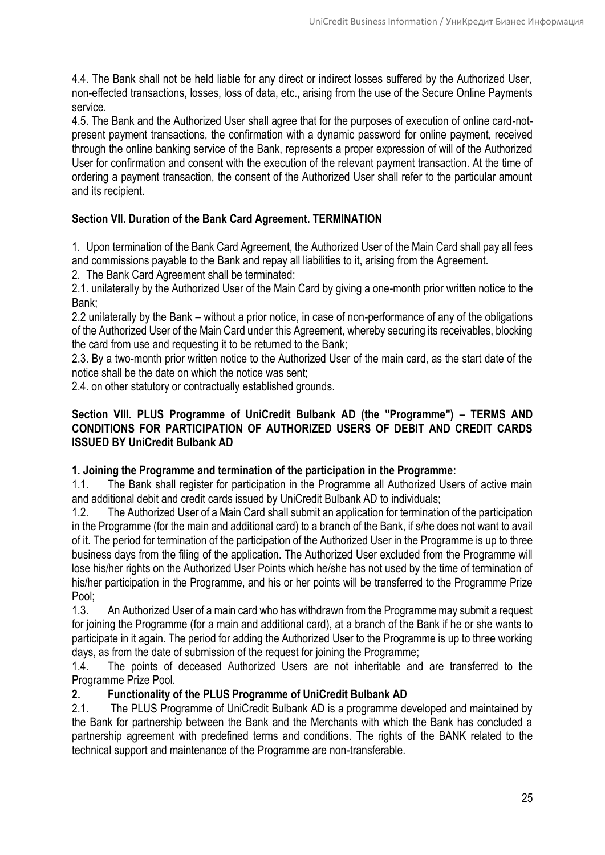4.4. The Bank shall not be held liable for any direct or indirect losses suffered by the Authorized User, non-effected transactions, losses, loss of data, etc., arising from the use of the Secure Online Payments service.

4.5. The Bank and the Authorized User shall agree that for the purposes of execution of online card-notpresent payment transactions, the confirmation with a dynamic password for online payment, received through the online banking service of the Bank, represents a proper expression of will of the Authorized User for confirmation and consent with the execution of the relevant payment transaction. At the time of ordering a payment transaction, the consent of the Authorized User shall refer to the particular amount and its recipient.

# **Section VII. Duration of the Bank Card Agreement. TERMINATION**

1. Upon termination of the Bank Card Agreement, the Authorized User of the Main Card shall pay all fees and commissions payable to the Bank and repay all liabilities to it, arising from the Agreement.

2. The Bank Card Agreement shall be terminated:

2.1. unilaterally by the Authorized User of the Main Card by giving a one-month prior written notice to the Bank;

2.2 unilaterally by the Bank – without a prior notice, in case of non-performance of any of the obligations of the Authorized User of the Main Card under this Agreement, whereby securing its receivables, blocking the card from use and requesting it to be returned to the Bank;

2.3. By a two-month prior written notice to the Authorized User of the main card, as the start date of the notice shall be the date on which the notice was sent;

2.4. on other statutory or contractually established grounds.

# **Section VIII. PLUS Programme of UniCredit Bulbank AD (the "Programme") – TERMS AND CONDITIONS FOR PARTICIPATION OF AUTHORIZED USERS OF DEBIT AND CREDIT CARDS ISSUED BY UniCredit Bulbank AD**

# **1. Joining the Programme and termination of the participation in the Programme:**

1.1. The Bank shall register for participation in the Programme all Authorized Users of active main and additional debit and credit cards issued by UniCredit Bulbank AD to individuals;

1.2. The Authorized User of a Main Card shall submit an application for termination of the participation in the Programme (for the main and additional card) to a branch of the Bank, if s/he does not want to avail of it. The period for termination of the participation of the Authorized User in the Programme is up to three business days from the filing of the application. The Authorized User excluded from the Programme will lose his/her rights on the Authorized User Points which he/she has not used by the time of termination of his/her participation in the Programme, and his or her points will be transferred to the Programme Prize Pool;

1.3. An Authorized User of a main card who has withdrawn from the Programme may submit a request for joining the Programme (for a main and additional card), at a branch of the Bank if he or she wants to participate in it again. The period for adding the Authorized User to the Programme is up to three working days, as from the date of submission of the request for joining the Programme;

1.4. The points of deceased Authorized Users are not inheritable and are transferred to the Programme Prize Pool.

# **2. Functionality of the PLUS Programme of UniCredit Bulbank AD**

2.1. The PLUS Programme of UniCredit Bulbank AD is a programme developed and maintained by the Bank for partnership between the Bank and the Merchants with which the Bank has concluded a partnership agreement with predefined terms and conditions. The rights of the BANK related to the technical support and maintenance of the Programme are non-transferable.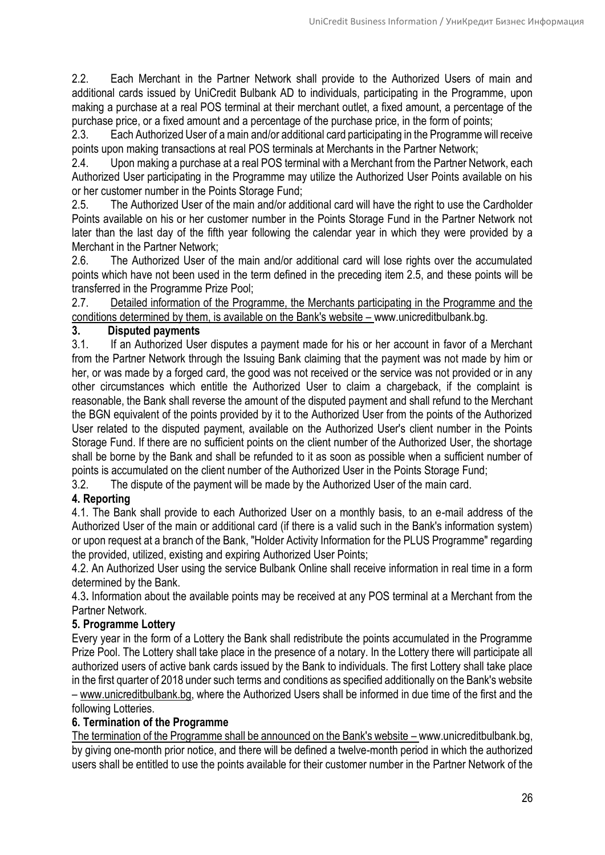2.2. Each Merchant in the Partner Network shall provide to the Authorized Users of main and additional cards issued by UniCredit Bulbank AD to individuals, participating in the Programme, upon making a purchase at a real POS terminal at their merchant outlet, a fixed amount, a percentage of the purchase price, or a fixed amount and a percentage of the purchase price, in the form of points;

2.3. Each Authorized User of a main and/or additional card participating in the Programme will receive points upon making transactions at real POS terminals at Merchants in the Partner Network;

2.4. Upon making a purchase at a real POS terminal with a Merchant from the Partner Network, each Authorized User participating in the Programme may utilize the Authorized User Points available on his or her customer number in the Points Storage Fund;

2.5. The Authorized User of the main and/or additional card will have the right to use the Cardholder Points available on his or her customer number in the Points Storage Fund in the Partner Network not later than the last day of the fifth year following the calendar year in which they were provided by a Merchant in the Partner Network;

2.6. The Authorized User of the main and/or additional card will lose rights over the accumulated points which have not been used in the term defined in the preceding item 2.5, and these points will be transferred in the Programme Prize Pool;

2.7. [Detailed information of the Programme, the Merchants participating in the Programme and the](http://www.unicreditbulbank.bg/)  [conditions determined by them, is available on the Bank's website](http://www.unicreditbulbank.bg/) – www.unicreditbulbank.bg.

# **3. Disputed payments**

3.1. If an Authorized User disputes a payment made for his or her account in favor of a Merchant from the Partner Network through the Issuing Bank claiming that the payment was not made by him or her, or was made by a forged card, the good was not received or the service was not provided or in any other circumstances which entitle the Authorized User to claim a chargeback, if the complaint is reasonable, the Bank shall reverse the amount of the disputed payment and shall refund to the Merchant the BGN equivalent of the points provided by it to the Authorized User from the points of the Authorized User related to the disputed payment, available on the Authorized User's client number in the Points Storage Fund. If there are no sufficient points on the client number of the Authorized User, the shortage shall be borne by the Bank and shall be refunded to it as soon as possible when a sufficient number of points is accumulated on the client number of the Authorized User in the Points Storage Fund;

3.2. The dispute of the payment will be made by the Authorized User of the main card.

# **4. Reporting**

4.1. The Bank shall provide to each Authorized User on a monthly basis, to an e-mail address of the Authorized User of the main or additional card (if there is a valid such in the Bank's information system) or upon request at a branch of the Bank, "Holder Activity Information for the PLUS Programme" regarding the provided, utilized, existing and expiring Authorized User Points;

4.2. An Authorized User using the service Bulbank Online shall receive information in real time in a form determined by the Bank.

4.3**.** Information about the available points may be received at any POS terminal at a Merchant from the Partner Network.

# **5. Programme Lottery**

Every year in the form of a Lottery the Bank shall redistribute the points accumulated in the Programme Prize Pool. The Lottery shall take place in the presence of a notary. In the Lottery there will participate all authorized users of active bank cards issued by the Bank to individuals. The first Lottery shall take place in the first quarter of 2018 under such terms and conditions as specified additionally on the Bank's website – [www.unicreditbulbank.bg,](http://www.unicreditbulbank.bg/) where the Authorized Users shall be informed in due time of the first and the following Lotteries.

# **6. Termination of the Programme**

[The termination of the Programme shall be announced on the Bank's website](http://www.unicreditbulbank.bg/) – www.unicreditbulbank.bg, by giving one-month prior notice, and there will be defined a twelve-month period in which the authorized users shall be entitled to use the points available for their customer number in the Partner Network of the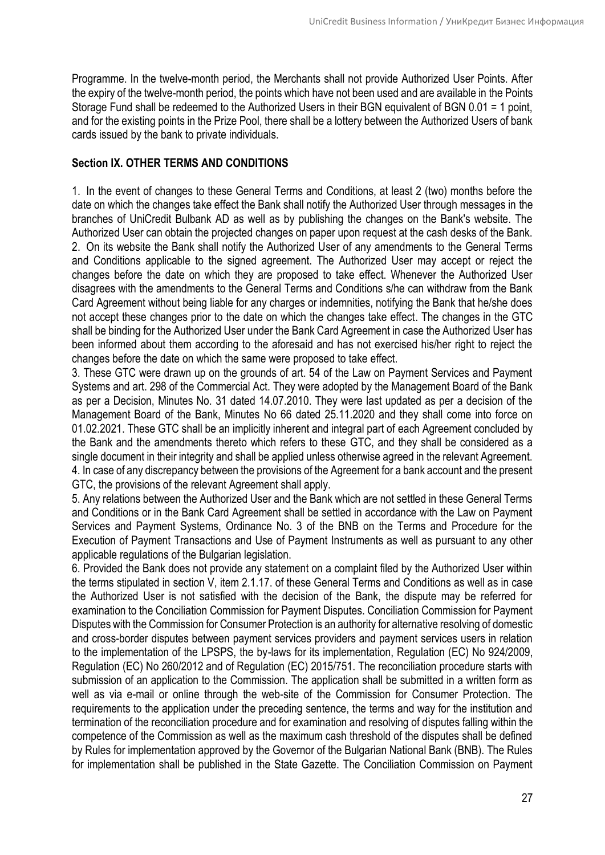Programme. In the twelve-month period, the Merchants shall not provide Authorized User Points. After the expiry of the twelve-month period, the points which have not been used and are available in the Points Storage Fund shall be redeemed to the Authorized Users in their BGN equivalent of BGN 0.01 = 1 point, and for the existing points in the Prize Pool, there shall be a lottery between the Authorized Users of bank cards issued by the bank to private individuals.

# **Section IХ. OTHER TERMS AND CONDITIONS**

1. In the event of changes to these General Terms and Conditions, at least 2 (two) months before the date on which the changes take effect the Bank shall notify the Authorized User through messages in the branches of UniCredit Bulbank AD as well as by publishing the changes on the Bank's website. The Authorized User can obtain the projected changes on paper upon request at the cash desks of the Bank. 2. On its website the Bank shall notify the Authorized User of any amendments to the General Terms and Conditions applicable to the signed agreement. The Authorized User may accept or reject the changes before the date on which they are proposed to take effect. Whenever the Authorized User disagrees with the amendments to the General Terms and Conditions s/he can withdraw from the Bank Card Agreement without being liable for any charges or indemnities, notifying the Bank that he/she does not accept these changes prior to the date on which the changes take effect. The changes in the GTC shall be binding for the Authorized User under the Bank Card Agreement in case the Authorized User has been informed about them according to the aforesaid and has not exercised his/her right to reject the changes before the date on which the same were proposed to take effect.

3. These GTC were drawn up on the grounds of art. 54 of the Law on Payment Services and Payment Systems and art. 298 of the Commercial Act. They were adopted by the Management Board of the Bank as per a Decision, Minutes No. 31 dated 14.07.2010. They were last updated as per a decision of the Management Board of the Bank, Minutes No 66 dated 25.11.2020 and they shall come into force on 01.02.2021. These GTC shall be an implicitly inherent and integral part of each Agreement concluded by the Bank and the amendments thereto which refers to these GTC, and they shall be considered as a single document in their integrity and shall be applied unless otherwise agreed in the relevant Agreement. 4. In case of any discrepancy between the provisions of the Agreement for a bank account and the present GTC, the provisions of the relevant Agreement shall apply.

5. Any relations between the Authorized User and the Bank which are not settled in these General Terms and Conditions or in the Bank Card Agreement shall be settled in accordance with the Law on Payment Services and Payment Systems, Ordinance No. 3 of the BNB on the Terms and Procedure for the Execution of Payment Transactions and Use of Payment Instruments as well as pursuant to any other applicable regulations of the Bulgarian legislation.

6. Provided the Bank does not provide any statement on a complaint filed by the Authorized User within the terms stipulated in section V, item 2.1.17. of these General Terms and Conditions as well as in case the Authorized User is not satisfied with the decision of the Bank, the dispute may be referred for examination to the Conciliation Commission for Payment Disputes. Conciliation Commission for Payment Disputes with the Commission for Consumer Protection is an authority for alternative resolving of domestic and cross-border disputes between payment services providers and payment services users in relation to the implementation of the LPSPS, the by-laws for its implementation, Regulation (EC) No 924/2009, Regulation (EC) No 260/2012 and of Regulation (EC) 2015/751. The reconciliation procedure starts with submission of an application to the Commission. The application shall be submitted in a written form as well as via e-mail or online through the web-site of the Commission for Consumer Protection. The requirements to the application under the preceding sentence, the terms and way for the institution and termination of the reconciliation procedure and for examination and resolving of disputes falling within the competence of the Commission as well as the maximum cash threshold of the disputes shall be defined by Rules for implementation approved by the Governor of the Bulgarian National Bank (BNB). The Rules for implementation shall be published in the State Gazette. The Conciliation Commission on Payment